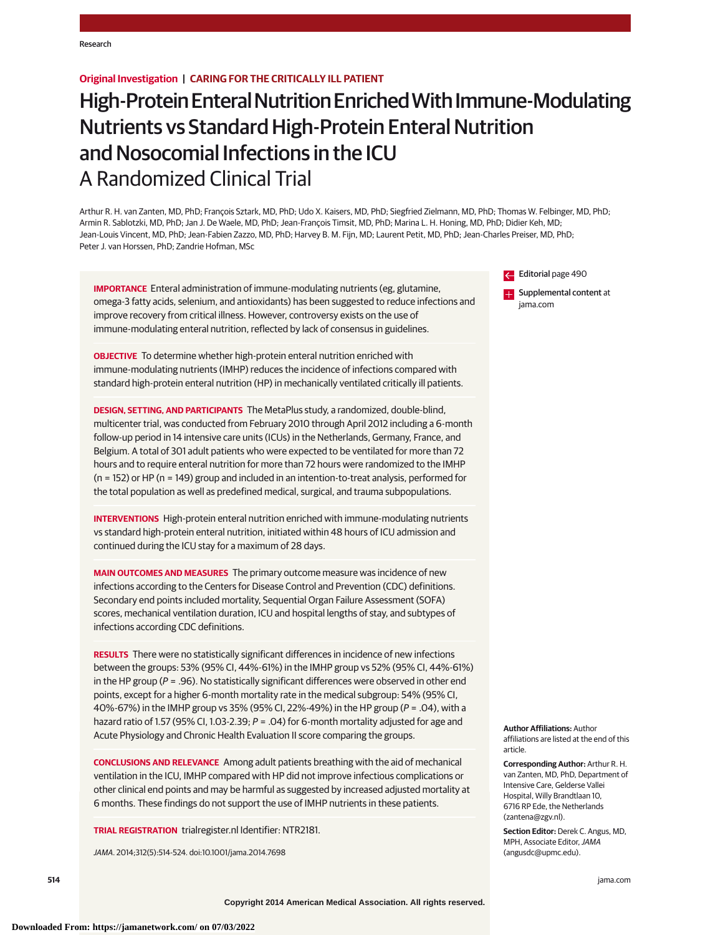# **Original Investigation | CARING FOR THE CRITICALLY ILL PATIENT**

# High-Protein Enteral Nutrition Enriched With Immune-Modulating Nutrients vs Standard High-Protein Enteral Nutrition and Nosocomial Infections in the ICU A Randomized Clinical Trial

Arthur R. H. van Zanten, MD, PhD; François Sztark, MD, PhD; Udo X. Kaisers, MD, PhD; Siegfried Zielmann, MD, PhD; Thomas W. Felbinger, MD, PhD; Armin R. Sablotzki, MD, PhD; Jan J. De Waele, MD, PhD; Jean-François Timsit, MD, PhD; Marina L. H. Honing, MD, PhD; Didier Keh, MD; Jean-Louis Vincent, MD, PhD; Jean-Fabien Zazzo, MD, PhD; Harvey B. M. Fijn, MD; Laurent Petit, MD, PhD; Jean-Charles Preiser, MD, PhD; Peter J. van Horssen, PhD; Zandrie Hofman, MSc

**IMPORTANCE** Enteral administration of immune-modulating nutrients (eg, glutamine, omega-3 fatty acids, selenium, and antioxidants) has been suggested to reduce infections and improve recovery from critical illness. However, controversy exists on the use of immune-modulating enteral nutrition, reflected by lack of consensus in guidelines.

**OBJECTIVE** To determine whether high-protein enteral nutrition enriched with immune-modulating nutrients (IMHP) reduces the incidence of infections compared with standard high-protein enteral nutrition (HP) in mechanically ventilated critically ill patients.

**DESIGN, SETTING, AND PARTICIPANTS** The MetaPlus study, a randomized, double-blind, multicenter trial, was conducted from February 2010 through April 2012 including a 6-month follow-up period in 14 intensive care units (ICUs) in the Netherlands, Germany, France, and Belgium. A total of 301 adult patients who were expected to be ventilated for more than 72 hours and to require enteral nutrition for more than 72 hours were randomized to the IMHP (n = 152) or HP (n = 149) group and included in an intention-to-treat analysis, performed for the total population as well as predefined medical, surgical, and trauma subpopulations.

**INTERVENTIONS** High-protein enteral nutrition enriched with immune-modulating nutrients vs standard high-protein enteral nutrition, initiated within 48 hours of ICU admission and continued during the ICU stay for a maximum of 28 days.

**MAIN OUTCOMES AND MEASURES** The primary outcome measure was incidence of new infections according to the Centers for Disease Control and Prevention (CDC) definitions. Secondary end points included mortality, Sequential Organ Failure Assessment (SOFA) scores, mechanical ventilation duration, ICU and hospital lengths of stay, and subtypes of infections according CDC definitions.

**RESULTS** There were no statistically significant differences in incidence of new infections between the groups: 53% (95% CI, 44%-61%) in the IMHP group vs 52% (95% CI, 44%-61%) in the HP group ( $P = .96$ ). No statistically significant differences were observed in other end points, except for a higher 6-month mortality rate in the medical subgroup: 54% (95% CI, 40%-67%) in the IMHP group vs 35% (95% CI, 22%-49%) in the HP group (P = .04), with a hazard ratio of 1.57 (95% CI, 1.03-2.39; P = .04) for 6-month mortality adjusted for age and Acute Physiology and Chronic Health Evaluation II score comparing the groups.

**CONCLUSIONS AND RELEVANCE** Among adult patients breathing with the aid of mechanical ventilation in the ICU, IMHP compared with HP did not improve infectious complications or other clinical end points and may be harmful as suggested by increased adjusted mortality at 6 months. These findings do not support the use of IMHP nutrients in these patients.

**TRIAL REGISTRATION** trialregister.nl Identifier: NTR2181.

JAMA. 2014;312(5):514-524. doi:10.1001/jama.2014.7698

Editorial page 490

**Examplemental content at** jama.com

**Author Affiliations:** Author affiliations are listed at the end of this article.

**Corresponding Author:** Arthur R. H. van Zanten, MD, PhD, Department of Intensive Care, Gelderse Vallei Hospital, Willy Brandtlaan 10, 6716 RP Ede, the Netherlands (zantena@zgv.nl).

**Section Editor:** Derek C. Angus, MD, MPH, Associate Editor, JAMA (angusdc@upmc.edu).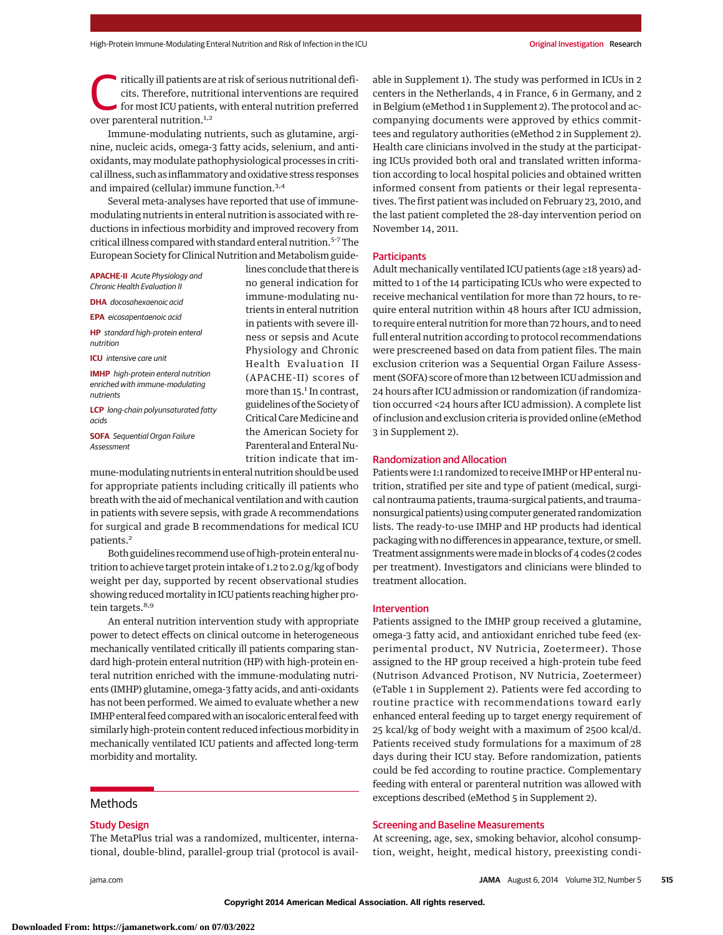Fritically ill patients are at risk of serious nutritional deficits. Therefore, nutritional interventions are required for most ICU patients, with enteral nutrition preferred cits. Therefore, nutritional interventions are required over parenteral nutrition.<sup>1,2</sup>

Immune-modulating nutrients, such as glutamine, arginine, nucleic acids, omega-3 fatty acids, selenium, and antioxidants, may modulate pathophysiological processes in critical illness, such as inflammatory and oxidative stress responses and impaired (cellular) immune function.3,4

Several meta-analyses have reported that use of immunemodulating nutrients in enteral nutrition is associated with reductions in infectious morbidity and improved recovery from critical illness compared with standard enteral nutrition.5-7The European Society for Clinical Nutrition and Metabolism guide-

**APACHE-II** Acute Physiology and Chronic Health Evaluation II

**DHA** docosahexaenoic acid

**EPA** eicosapentaenoic acid

**HP** standard high-protein enteral nutrition

**ICU** intensive care unit

**IMHP** high-protein enteral nutrition enriched with immune-modulating nutrients

**LCP** long-chain polyunsaturated fatty acids

**SOFA** Sequential Organ Failure Assessment

lines conclude that there is no general indication for immune-modulating nutrients in enteral nutrition in patients with severe illness or sepsis and Acute Physiology and Chronic Health Evaluation II (APACHE-II) scores of more than 15.<sup>1</sup> In contrast, guidelines of the Society of Critical CareMedicine and the American Society for Parenteral and Enteral Nutrition indicate that im-

mune-modulating nutrients in enteral nutrition should be used for appropriate patients including critically ill patients who breath with the aid of mechanical ventilation and with caution in patients with severe sepsis, with grade A recommendations for surgical and grade B recommendations for medical ICU patients.2

Both guidelines recommend use of high-protein enteral nutrition to achieve target protein intake of 1.2 to 2.0 g/kg of body weight per day, supported by recent observational studies showing reducedmortality in ICU patients reaching higher protein targets.<sup>8,9</sup>

An enteral nutrition intervention study with appropriate power to detect effects on clinical outcome in heterogeneous mechanically ventilated critically ill patients comparing standard high-protein enteral nutrition (HP) with high-protein enteral nutrition enriched with the immune-modulating nutrients (IMHP) glutamine, omega-3 fatty acids, and anti-oxidants has not been performed. We aimed to evaluate whether a new IMHP enteral feed comparedwith an isocaloric enteral feedwith similarly high-protein content reduced infectious morbidity in mechanically ventilated ICU patients and affected long-term morbidity and mortality.

# Methods

# Study Design

The MetaPlus trial was a randomized, multicenter, international, double-blind, parallel-group trial (protocol is avail-

able in Supplement 1). The study was performed in ICUs in 2 centers in the Netherlands, 4 in France, 6 in Germany, and 2 in Belgium (eMethod 1 in Supplement 2). The protocol and accompanying documents were approved by ethics committees and regulatory authorities (eMethod 2 in Supplement 2). Health care clinicians involved in the study at the participating ICUs provided both oral and translated written information according to local hospital policies and obtained written informed consent from patients or their legal representatives. The first patient was included on February 23, 2010, and the last patient completed the 28-day intervention period on November 14, 2011.

#### Participants

Adult mechanically ventilated ICU patients (age ≥18 years) admitted to 1 of the 14 participating ICUs who were expected to receive mechanical ventilation for more than 72 hours, to require enteral nutrition within 48 hours after ICU admission, to require enteral nutrition formore than 72 hours, and to need full enteral nutrition according to protocol recommendations were prescreened based on data from patient files. The main exclusion criterion was a Sequential Organ Failure Assessment (SOFA) score of more than 12 between ICU admission and 24 hours after ICU admission or randomization (if randomization occurred <24 hours after ICU admission). A complete list of inclusion and exclusion criteria is provided online (eMethod 3 in Supplement 2).

# Randomization and Allocation

Patients were 1:1 randomized to receive IMHP or HP enteral nutrition, stratified per site and type of patient (medical, surgical nontrauma patients, trauma-surgical patients, and trauma– nonsurgical patients) using computer generated randomization lists. The ready-to-use IMHP and HP products had identical packaging with no differences in appearance, texture, or smell. Treatment assignments weremade in blocks of 4 codes (2 codes per treatment). Investigators and clinicians were blinded to treatment allocation.

#### Intervention

Patients assigned to the IMHP group received a glutamine, omega-3 fatty acid, and antioxidant enriched tube feed (experimental product, NV Nutricia, Zoetermeer). Those assigned to the HP group received a high-protein tube feed (Nutrison Advanced Protison, NV Nutricia, Zoetermeer) (eTable 1 in Supplement 2). Patients were fed according to routine practice with recommendations toward early enhanced enteral feeding up to target energy requirement of 25 kcal/kg of body weight with a maximum of 2500 kcal/d. Patients received study formulations for a maximum of 28 days during their ICU stay. Before randomization, patients could be fed according to routine practice. Complementary feeding with enteral or parenteral nutrition was allowed with exceptions described (eMethod 5 in Supplement 2).

#### Screening and Baseline Measurements

At screening, age, sex, smoking behavior, alcohol consumption, weight, height, medical history, preexisting condi-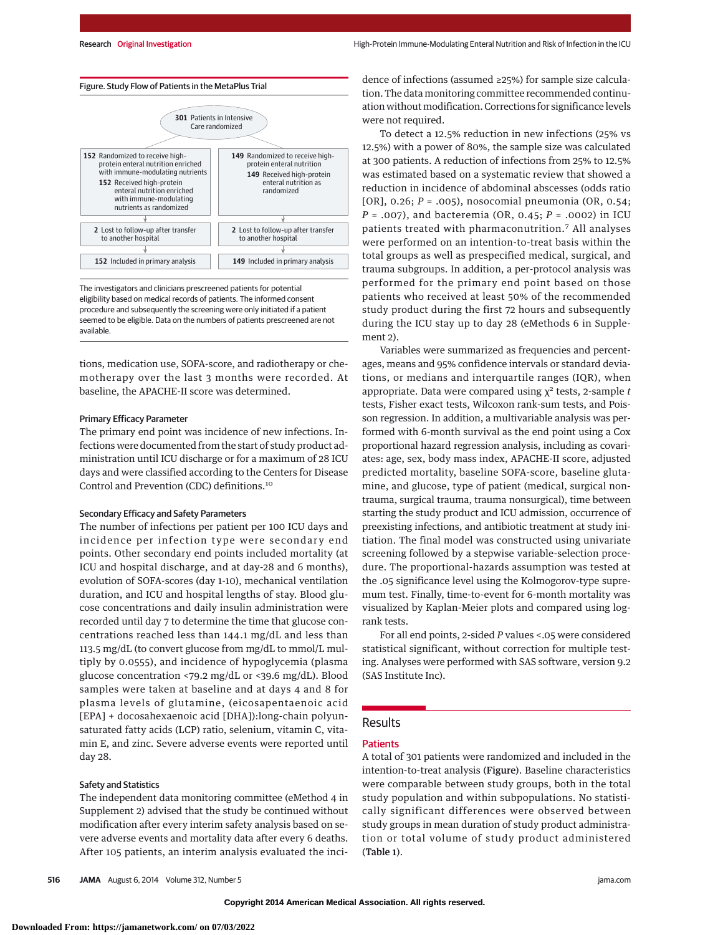

The investigators and clinicians prescreened patients for potential eligibility based on medical records of patients. The informed consent procedure and subsequently the screening were only initiated if a patient seemed to be eligible. Data on the numbers of patients prescreened are not available.

tions, medication use, SOFA-score, and radiotherapy or chemotherapy over the last 3 months were recorded. At baseline, the APACHE-II score was determined.

#### Primary Efficacy Parameter

The primary end point was incidence of new infections. Infections were documented from the start of study product administration until ICU discharge or for a maximum of 28 ICU days and were classified according to the Centers for Disease Control and Prevention (CDC) definitions.<sup>10</sup>

# Secondary Efficacy and Safety Parameters

The number of infections per patient per 100 ICU days and incidence per infection type were secondary end points. Other secondary end points included mortality (at ICU and hospital discharge, and at day-28 and 6 months), evolution of SOFA-scores (day 1-10), mechanical ventilation duration, and ICU and hospital lengths of stay. Blood glucose concentrations and daily insulin administration were recorded until day 7 to determine the time that glucose concentrations reached less than 144.1 mg/dL and less than 113.5 mg/dL (to convert glucose from mg/dL to mmol/L multiply by 0.0555), and incidence of hypoglycemia (plasma glucose concentration <79.2 mg/dL or <39.6 mg/dL). Blood samples were taken at baseline and at days 4 and 8 for plasma levels of glutamine, (eicosapentaenoic acid [EPA] + docosahexaenoic acid [DHA]):long-chain polyunsaturated fatty acids (LCP) ratio, selenium, vitamin C, vitamin E, and zinc. Severe adverse events were reported until day 28.

### Safety and Statistics

The independent data monitoring committee (eMethod 4 in Supplement 2) advised that the study be continued without modification after every interim safety analysis based on severe adverse events and mortality data after every 6 deaths. After 105 patients, an interim analysis evaluated the incidence of infections (assumed ≥25%) for sample size calculation. The data monitoring committee recommended continuation without modification. Corrections for significance levels were not required.

To detect a 12.5% reduction in new infections (25% vs 12.5%) with a power of 80%, the sample size was calculated at 300 patients. A reduction of infections from 25% to 12.5% was estimated based on a systematic review that showed a reduction in incidence of abdominal abscesses (odds ratio [OR], 0.26; *P* = .005), nosocomial pneumonia (OR, 0.54; *P* = .007), and bacteremia (OR, 0.45; *P* = .0002) in ICU patients treated with pharmaconutrition.<sup>7</sup> All analyses were performed on an intention-to-treat basis within the total groups as well as prespecified medical, surgical, and trauma subgroups. In addition, a per-protocol analysis was performed for the primary end point based on those patients who received at least 50% of the recommended study product during the first 72 hours and subsequently during the ICU stay up to day 28 (eMethods 6 in Supplement 2).

Variables were summarized as frequencies and percentages, means and 95% confidence intervals or standard deviations, or medians and interquartile ranges (IQR), when appropriate. Data were compared using χ<sup>2</sup> tests, 2-sample *t* tests, Fisher exact tests, Wilcoxon rank-sum tests, and Poisson regression. In addition, a multivariable analysis was performed with 6-month survival as the end point using a Cox proportional hazard regression analysis, including as covariates: age, sex, body mass index, APACHE-II score, adjusted predicted mortality, baseline SOFA-score, baseline glutamine, and glucose, type of patient (medical, surgical nontrauma, surgical trauma, trauma nonsurgical), time between starting the study product and ICU admission, occurrence of preexisting infections, and antibiotic treatment at study initiation. The final model was constructed using univariate screening followed by a stepwise variable-selection procedure. The proportional-hazards assumption was tested at the .05 significance level using the Kolmogorov-type supremum test. Finally, time-to-event for 6-month mortality was visualized by Kaplan-Meier plots and compared using logrank tests.

For all end points, 2-sided *P* values <.05 were considered statistical significant, without correction for multiple testing. Analyses were performed with SAS software, version 9.2 (SAS Institute Inc).

# Results

#### **Patients**

A total of 301 patients were randomized and included in the intention-to-treat analysis (Figure). Baseline characteristics were comparable between study groups, both in the total study population and within subpopulations. No statistically significant differences were observed between study groups in mean duration of study product administration or total volume of study product administered (Table 1).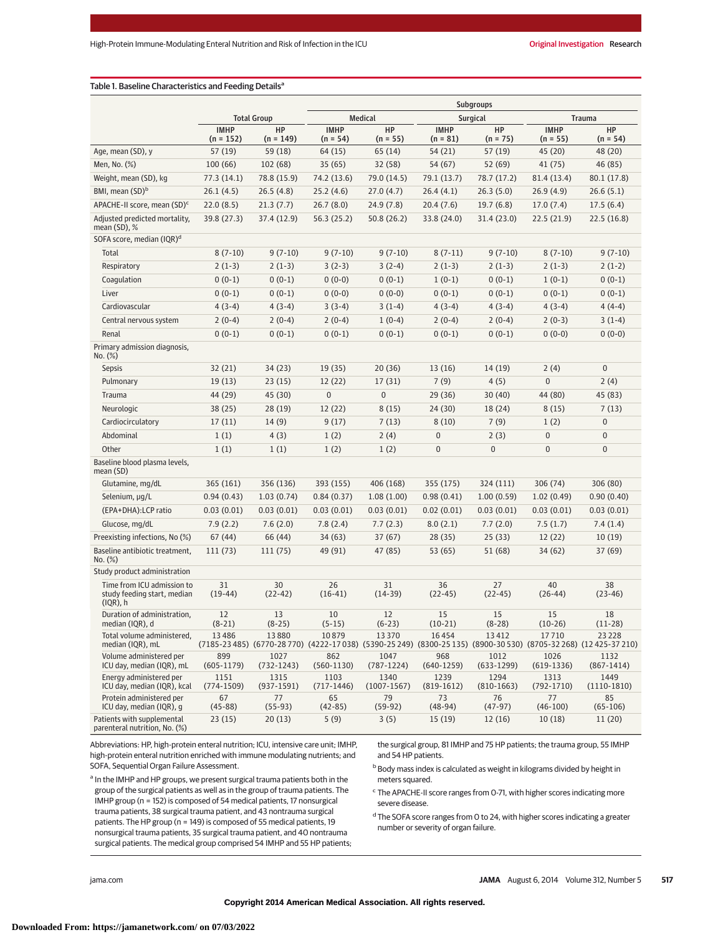# Table 1. Baseline Characteristics and Feeding Details<sup>a</sup>

|                                                                          |                            |                      | <b>Subgroups</b>          |                         |                           |                      |                           |                                                                                                                            |
|--------------------------------------------------------------------------|----------------------------|----------------------|---------------------------|-------------------------|---------------------------|----------------------|---------------------------|----------------------------------------------------------------------------------------------------------------------------|
|                                                                          | <b>Total Group</b>         |                      | <b>Medical</b>            |                         | <b>Surgical</b>           |                      | <b>Trauma</b>             |                                                                                                                            |
|                                                                          | <b>IMHP</b><br>$(n = 152)$ | HP<br>$(n = 149)$    | <b>IMHP</b><br>$(n = 54)$ | HP<br>$(n = 55)$        | <b>IMHP</b><br>$(n = 81)$ | HP<br>$(n = 75)$     | <b>IMHP</b><br>$(n = 55)$ | HP<br>$(n = 54)$                                                                                                           |
| Age, mean (SD), y                                                        | 57(19)                     | 59 (18)              | 64 (15)                   | 65 (14)                 | 54 (21)                   | 57 (19)              | 45 (20)                   | 48 (20)                                                                                                                    |
| Men, No. (%)                                                             | 100(66)                    | 102 (68)             | 35(65)                    | 32 (58)                 | 54 (67)                   | 52 (69)              | 41 (75)                   | 46 (85)                                                                                                                    |
| Weight, mean (SD), kg                                                    | 77.3 (14.1)                | 78.8 (15.9)          | 74.2 (13.6)               | 79.0 (14.5)             | 79.1 (13.7)               | 78.7 (17.2)          | 81.4 (13.4)               | 80.1 (17.8)                                                                                                                |
| BMI, mean (SD) <sup>b</sup>                                              | 26.1(4.5)                  | 26.5(4.8)            | 25.2(4.6)                 | 27.0(4.7)               | 26.4(4.1)                 | 26.3(5.0)            | 26.9(4.9)                 | 26.6(5.1)                                                                                                                  |
| APACHE-II score, mean (SD) <sup>c</sup>                                  | 22.0(8.5)                  | 21.3(7.7)            | 26.7(8.0)                 | 24.9(7.8)               | 20.4(7.6)                 | 19.7(6.8)            | 17.0(7.4)                 | 17.5(6.4)                                                                                                                  |
| Adjusted predicted mortality,<br>mean $(SD)$ , %                         | 39.8 (27.3)                | 37.4 (12.9)          | 56.3 (25.2)               | 50.8 (26.2)             | 33.8 (24.0)               | 31.4 (23.0)          | 22.5 (21.9)               | 22.5(16.8)                                                                                                                 |
| SOFA score, median (IQR) <sup>d</sup>                                    |                            |                      |                           |                         |                           |                      |                           |                                                                                                                            |
| Total                                                                    | $8(7-10)$                  | $9(7-10)$            | $9(7-10)$                 | $9(7-10)$               | $8(7-11)$                 | $9(7-10)$            | $8(7-10)$                 | $9(7-10)$                                                                                                                  |
| Respiratory                                                              | $2(1-3)$                   | $2(1-3)$             | $3(2-3)$                  | $3(2-4)$                | $2(1-3)$                  | $2(1-3)$             | $2(1-3)$                  | $2(1-2)$                                                                                                                   |
| Coagulation                                                              | $0(0-1)$                   | $0(0-1)$             | $0(0-0)$                  | $0(0-1)$                | $1(0-1)$                  | $0(0-1)$             | $1(0-1)$                  | $0(0-1)$                                                                                                                   |
| Liver                                                                    | $0(0-1)$                   | $0(0-1)$             | $0(0-0)$                  | $0(0-0)$                | $0(0-1)$                  | $0(0-1)$             | $0(0-1)$                  | $0(0-1)$                                                                                                                   |
| Cardiovascular                                                           | $4(3-4)$                   | $4(3-4)$             | $3(3-4)$                  | $3(1-4)$                | $4(3-4)$                  | $4(3-4)$             | 4 (3-4)                   | $4(4-4)$                                                                                                                   |
| Central nervous system                                                   | $2(0-4)$                   | $2(0-4)$             | $2(0-4)$                  | $1(0-4)$                | $2(0-4)$                  | $2(0-4)$             | $2(0-3)$                  | $3(1-4)$                                                                                                                   |
| Renal                                                                    | $0(0-1)$                   | $0(0-1)$             | $0(0-1)$                  | $0(0-1)$                | $0(0-1)$                  | $0(0-1)$             | $0(0-0)$                  | $0(0-0)$                                                                                                                   |
| Primary admission diagnosis,<br>No. (%)                                  |                            |                      |                           |                         |                           |                      |                           |                                                                                                                            |
| Sepsis                                                                   | 32(21)                     | 34(23)               | 19(35)                    | 20(36)                  | 13 (16)                   | 14 (19)              | 2(4)                      | $\mathbf 0$                                                                                                                |
| Pulmonary                                                                | 19(13)                     | 23(15)               | 12(22)                    | 17(31)                  | 7(9)                      | 4(5)                 | $\mathbf 0$               | 2(4)                                                                                                                       |
| Trauma                                                                   | 44 (29)                    | 45 (30)              | $\mathbf 0$               | $\mathbf 0$             | 29 (36)                   | 30(40)               | 44 (80)                   | 45 (83)                                                                                                                    |
| Neurologic                                                               | 38(25)                     | 28(19)               | 12(22)                    | 8(15)                   | 24 (30)                   | 18 (24)              | 8(15)                     | 7(13)                                                                                                                      |
| Cardiocirculatory                                                        | 17(11)                     | 14(9)                | 9(17)                     | 7(13)                   | 8(10)                     | 7(9)                 | 1(2)                      | $\pmb{0}$                                                                                                                  |
| Abdominal                                                                | 1(1)                       | 4(3)                 | 1(2)                      | 2(4)                    | $\mathbf{0}$              | 2(3)                 | 0                         | $\pmb{0}$                                                                                                                  |
| Other                                                                    | 1(1)                       | 1(1)                 | 1(2)                      | 1(2)                    | $\bf{0}$                  | $\boldsymbol{0}$     | 0                         | $\pmb{0}$                                                                                                                  |
| Baseline blood plasma levels,<br>mean (SD)                               |                            |                      |                           |                         |                           |                      |                           |                                                                                                                            |
| Glutamine, mg/dL                                                         | 365 (161)                  | 356 (136)            | 393 (155)                 | 406 (168)               | 355 (175)                 | 324 (111)            | 306 (74)                  | 306 (80)                                                                                                                   |
| Selenium, µg/L                                                           | 0.94(0.43)                 | 1.03(0.74)           | 0.84(0.37)                | 1.08(1.00)              | 0.98(0.41)                | 1.00(0.59)           | 1.02(0.49)                | 0.90(0.40)                                                                                                                 |
| (EPA+DHA):LCP ratio                                                      | 0.03(0.01)                 | 0.03(0.01)           | 0.03(0.01)                | 0.03(0.01)              | 0.02(0.01)                | 0.03(0.01)           | 0.03(0.01)                | 0.03(0.01)                                                                                                                 |
| Glucose, mg/dL                                                           | 7.9(2.2)                   | 7.6(2.0)             | 7.8(2.4)                  | 7.7(2.3)                | 8.0(2.1)                  | 7.7(2.0)             | 7.5(1.7)                  | 7.4(1.4)                                                                                                                   |
| Preexisting infections, No (%)                                           | 67(44)                     | 66 (44)              | 34(63)                    | 37(67)                  | 28 (35)                   | 25 (33)              | 12(22)                    | 10(19)                                                                                                                     |
| Baseline antibiotic treatment,<br>No. (%)                                | 111(73)                    | 111 (75)             | 49 (91)                   | 47 (85)                 | 53 (65)                   | 51 (68)              | 34(62)                    | 37 (69)                                                                                                                    |
| Study product administration                                             |                            |                      |                           |                         |                           |                      |                           |                                                                                                                            |
| Time from ICU admission to<br>study feeding start, median<br>$(IQR)$ , h | 31<br>$(19-44)$            | 30<br>$(22-42)$      | 26<br>$(16-41)$           | 31<br>$(14-39)$         | 36<br>$(22-45)$           | 27<br>$(22-45)$      | 40<br>$(26-44)$           | 38<br>$(23-46)$                                                                                                            |
| Duration of administration.<br>median (IQR), d                           | 12<br>$(8-21)$             | 13<br>$(8-25)$       | 10<br>$(5-15)$            | 12<br>$(6-23)$          | 15<br>$(10-21)$           | 15<br>$(8-28)$       | 15<br>$(10-26)$           | 18<br>$(11-28)$                                                                                                            |
| Total volume administered,<br>median (IQR), mL                           | 13486                      | 13880                | 10879                     | 13370                   | 16454                     | 13412                | 17710                     | 23228<br>(7185-23 485) (6770-28 770) (4222-17 038) (5390-25 249) (8300-25 135) (8900-30 530) (8705-32 268) (12 425-37 210) |
| Volume administered per<br>ICU day, median (IQR), mL                     | 899<br>$(605-1179)$        | 1027<br>(732-1243)   | 862<br>$(560-1130)$       | 1047<br>$(787 - 1224)$  | 968<br>$(640-1259)$       | 1012<br>$(633-1299)$ | 1026<br>(619-1336)        | 1132<br>$(867-1414)$                                                                                                       |
| Energy administered per<br>ICU day, median (IQR), kcal                   | 1151<br>$(774-1509)$       | 1315<br>$(937-1591)$ | 1103<br>$(717-1446)$      | 1340<br>$(1007 - 1567)$ | 1239<br>$(819-1612)$      | 1294<br>$(810-1663)$ | 1313<br>(792-1710)        | 1449<br>$(1110-1810)$                                                                                                      |
| Protein administered per<br>ICU day, median (IQR), g                     | 67<br>$(45-88)$            | 77<br>$(55-93)$      | 65<br>$(42-85)$           | 79<br>$(59-92)$         | 73<br>$(48-94)$           | 76<br>$(47-97)$      | 77<br>$(46-100)$          | 85<br>$(65-106)$                                                                                                           |
| Patients with supplemental<br>parenteral nutrition, No. (%)              | 23(15)                     | 20(13)               | 5(9)                      | 3(5)                    | 15 (19)                   | 12 (16)              | 10(18)                    | 11(20)                                                                                                                     |

Abbreviations: HP, high-protein enteral nutrition; ICU, intensive care unit; IMHP, high-protein enteral nutrition enriched with immune modulating nutrients; and SOFA, Sequential Organ Failure Assessment.

a In the IMHP and HP groups, we present surgical trauma patients both in the group of the surgical patients as well as in the group of trauma patients. The IMHP group (n = 152) is composed of 54 medical patients, 17 nonsurgical trauma patients, 38 surgical trauma patient, and 43 nontrauma surgical patients. The HP group (n = 149) is composed of 55 medical patients, 19 nonsurgical trauma patients, 35 surgical trauma patient, and 40 nontrauma surgical patients. The medical group comprised 54 IMHP and 55 HP patients;

the surgical group, 81 IMHP and 75 HP patients; the trauma group, 55 IMHP and 54 HP patients.  $b$  Body mass index is calculated as weight in kilograms divided by height in

meters squared.

 $\textdegree$  The APACHE-II score ranges from 0-71, with higher scores indicating more severe disease.

<sup>d</sup> The SOFA score ranges from 0 to 24, with higher scores indicating a greater number or severity of organ failure.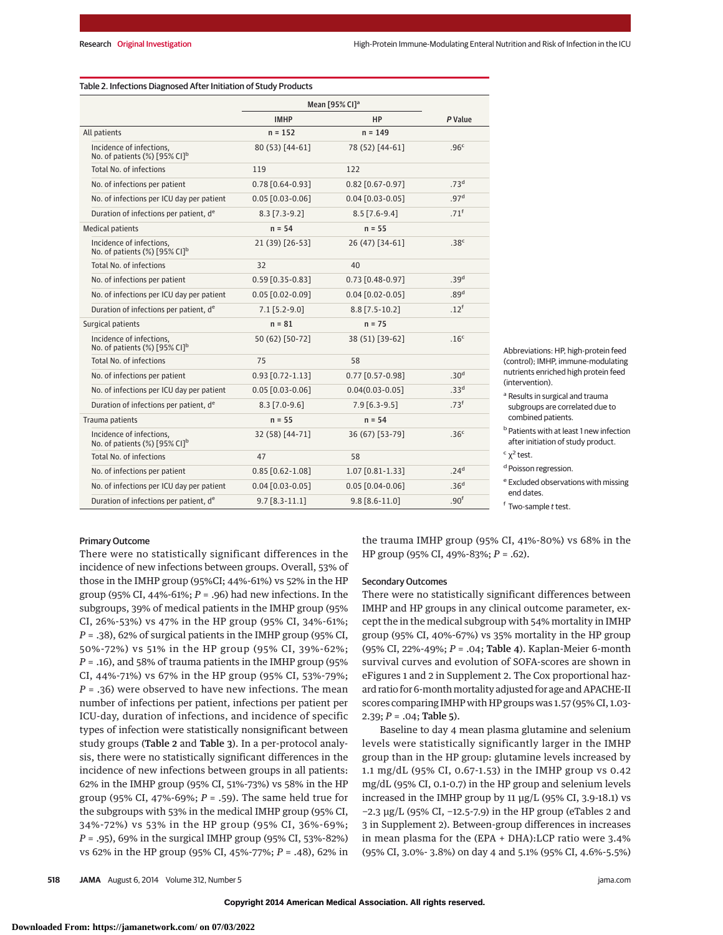|                                                                          |                        | Mean [95% CI] <sup>a</sup> |                  |
|--------------------------------------------------------------------------|------------------------|----------------------------|------------------|
|                                                                          | <b>IMHP</b>            | HP                         | P Value          |
| All patients                                                             | $n = 152$              | $n = 149$                  |                  |
| Incidence of infections,<br>No. of patients $(\%)$ [95% CI] <sup>b</sup> | 80 (53) [44-61]        | 78 (52) [44-61]            | .96 <sup>c</sup> |
| <b>Total No. of infections</b>                                           | 119                    | 122                        |                  |
| No. of infections per patient                                            | $0.78$ $[0.64 - 0.93]$ | $0.82$ [0.67-0.97]         | .73 <sup>d</sup> |
| No. of infections per ICU day per patient                                | $0.05$ $[0.03 - 0.06]$ | $0.04$ $[0.03 - 0.05]$     | .97 <sup>d</sup> |
| Duration of infections per patient, de                                   | $8.3$ [7.3-9.2]        | $8.5$ [7.6-9.4]            | .71 <sup>f</sup> |
| <b>Medical patients</b>                                                  | $n = 54$               | $n = 55$                   |                  |
| Incidence of infections,<br>No. of patients $(\%)$ [95% CI] <sup>b</sup> | 21 (39) [26-53]        | 26 (47) [34-61]            | .38 <sup>c</sup> |
| Total No. of infections                                                  | 32                     | 40                         |                  |
| No. of infections per patient                                            | $0.59$ $[0.35 - 0.83]$ | $0.73$ $[0.48 - 0.97]$     | .39 <sup>d</sup> |
| No. of infections per ICU day per patient                                | $0.05$ $[0.02 - 0.09]$ | $0.04$ $[0.02 - 0.05]$     | .89 <sup>d</sup> |
| Duration of infections per patient, de                                   | $7.1$ [5.2-9.0]        | $8.8$ [7.5-10.2]           | .12 <sup>f</sup> |
| Surgical patients                                                        | $n = 81$               | $n = 75$                   |                  |
| Incidence of infections,<br>No. of patients (%) [95% CI] <sup>b</sup>    | 50 (62) [50-72]        | 38 (51) [39-62]            | .16 <sup>c</sup> |
| <b>Total No. of infections</b>                                           | 75                     | 58                         |                  |
| No. of infections per patient                                            | $0.93$ $[0.72 - 1.13]$ | $0.77$ $[0.57 - 0.98]$     | .30 <sup>d</sup> |
| No. of infections per ICU day per patient                                | $0.05$ $[0.03 - 0.06]$ | $0.04(0.03 - 0.05]$        | .33 <sup>d</sup> |
| Duration of infections per patient, de                                   | $8.3$ [7.0-9.6]        | 7.9 [6.3-9.5]              | .73 <sup>f</sup> |
| Trauma patients                                                          | $n = 55$               | $n = 54$                   |                  |
| Incidence of infections,<br>No. of patients (%) [95% CI] <sup>b</sup>    | 32 (58) [44-71]        | 36 (67) [53-79]            | .36 <sup>c</sup> |
| <b>Total No. of infections</b>                                           | 47                     | 58                         |                  |
| No. of infections per patient                                            | $0.85$ [0.62-1.08]     | 1.07 [0.81-1.33]           | .24 <sup>d</sup> |
| No. of infections per ICU day per patient                                | $0.04$ $[0.03 - 0.05]$ | $0.05$ $[0.04 - 0.06]$     | .36 <sup>d</sup> |
| Duration of infections per patient, de                                   | $9.7$ [8.3-11.1]       | $9.8$ [8.6-11.0]           | .90 <sup>f</sup> |

Table 2. Infections Diagnosed After Initiation of Study Products

Abbreviations: HP, high-protein feed (control); IMHP, immune-modulating nutrients enriched high protein feed (intervention).

a Results in surgical and trauma subgroups are correlated due to combined patients.

**b** Patients with at least 1 new infection after initiation of study product.

 $<sup>c</sup>$   $χ<sup>2</sup>$  test.</sup>

<sup>d</sup> Poisson regression.

<sup>e</sup> Excluded observations with missing end dates.

<sup>f</sup> Two-sample t test.

#### Primary Outcome

There were no statistically significant differences in the incidence of new infections between groups. Overall, 53% of those in the IMHP group (95%CI; 44%-61%) vs 52% in the HP group (95% CI, 44%-61%; *P* = .96) had new infections. In the subgroups, 39% of medical patients in the IMHP group (95% CI, 26%-53%) vs 47% in the HP group (95% CI, 34%-61%; *P* = .38), 62% of surgical patients in the IMHP group (95% CI, 50%-72%) vs 51% in the HP group (95% CI, 39%-62%; *P* = .16), and 58% of trauma patients in the IMHP group (95% CI, 44%-71%) vs 67% in the HP group (95% CI, 53%-79%; *P* = .36) were observed to have new infections. The mean number of infections per patient, infections per patient per ICU-day, duration of infections, and incidence of specific types of infection were statistically nonsignificant between study groups (Table 2 and Table 3). In a per-protocol analysis, there were no statistically significant differences in the incidence of new infections between groups in all patients: 62% in the IMHP group (95% CI, 51%-73%) vs 58% in the HP group (95% CI, 47%-69%; *P* = .59). The same held true for the subgroups with 53% in the medical IMHP group (95% CI, 34%-72%) vs 53% in the HP group (95% CI, 36%-69%; *P* = .95), 69% in the surgical IMHP group (95% CI, 53%-82%) vs 62% in the HP group (95% CI, 45%-77%; *P* = .48), 62% in the trauma IMHP group (95% CI, 41%-80%) vs 68% in the HP group (95% CI, 49%-83%; *P* = .62).

#### Secondary Outcomes

There were no statistically significant differences between IMHP and HP groups in any clinical outcome parameter, except the in the medical subgroup with 54% mortality in IMHP group (95% CI, 40%-67%) vs 35% mortality in the HP group (95% CI, 22%-49%; *P* = .04; Table 4). Kaplan-Meier 6-month survival curves and evolution of SOFA-scores are shown in eFigures 1 and 2 in Supplement 2. The Cox proportional hazard ratio for 6-month mortality adjusted for age and APACHE-II scores comparing IMHP with HP groups was 1.57 (95% CI, 1.03- 2.39;  $P = .04$ ; Table 5).

Baseline to day 4 mean plasma glutamine and selenium levels were statistically significantly larger in the IMHP group than in the HP group: glutamine levels increased by 1.1 mg/dL (95% CI, 0.67-1.53) in the IMHP group vs 0.42 mg/dL (95% CI, 0.1-0.7) in the HP group and selenium levels increased in the IMHP group by 11 μg/L (95% CI, 3.9-18.1) vs −2.3 μg/L (95% CI, −12.5-7.9) in the HP group (eTables 2 and 3 in Supplement 2). Between-group differences in increases in mean plasma for the (EPA + DHA):LCP ratio were 3.4% (95% CI, 3.0%- 3.8%) on day 4 and 5.1% (95% CI, 4.6%-5.5%)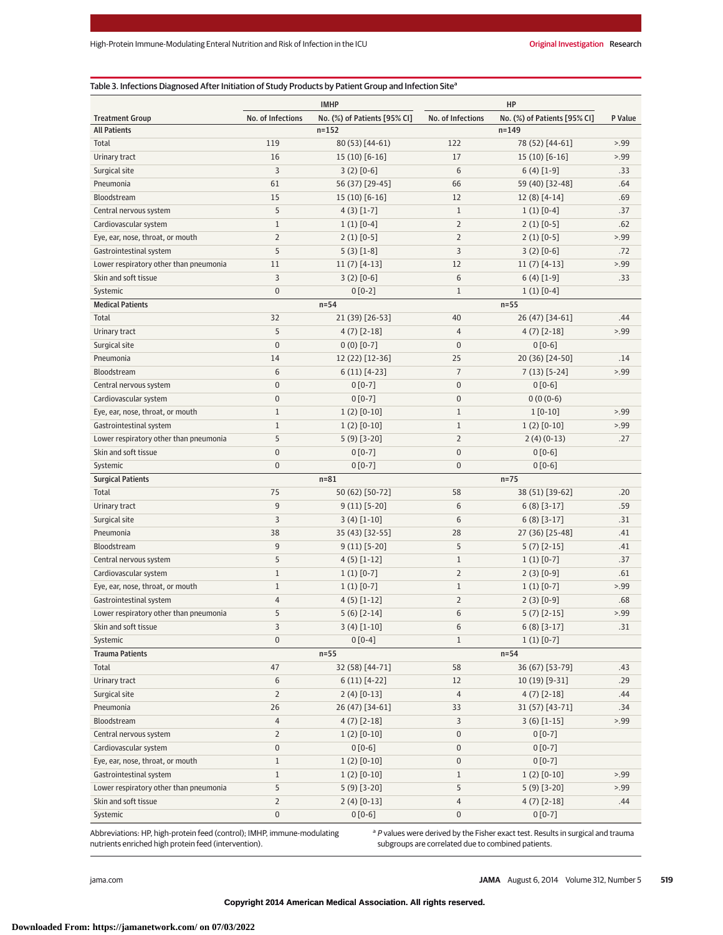# Table 3. Infections Diagnosed After Initiation of Study Products by Patient Group and Infection Site<sup>a</sup>

| <b>Treatment Group</b><br>No. of Infections<br>No. of Infections<br>No. (%) of Patients [95% CI]<br>P Value<br>No. (%) of Patients [95% CI]<br><b>All Patients</b><br>$n = 152$<br>$n = 149$<br>Total<br>119<br>80 (53) [44-61)<br>122<br>78 (52) [44-61]<br>> 0.99<br>16<br>17<br>Urinary tract<br>15 (10) [6-16]<br>$15(10)$ [6-16]<br>> 0.99<br>3<br>6<br>Surgical site<br>$3(2) [0-6]$<br>$6(4)$ [1-9]<br>.33<br>61<br>66<br>.64<br>Pneumonia<br>56 (37) [29-45]<br>59 (40) [32-48]<br>Bloodstream<br>15<br>12<br>.69<br>15 (10) [6-16]<br>$12(8)$ [4-14]<br>5<br>$\mathbf{1}$<br>Central nervous system<br>$4(3)$ [1-7]<br>$1(1)$ [0-4]<br>.37<br>$1\,$<br>$1(1)$ [0-4]<br>$\overline{2}$<br>.62<br>Cardiovascular system<br>$2(1)$ [0-5]<br>$\overline{2}$<br>$2(1)$ [0-5]<br>$\overline{2}$<br>> 99<br>Eye, ear, nose, throat, or mouth<br>$2(1)$ [0-5]<br>5<br>3<br>.72<br>Gastrointestinal system<br>$5(3) [1-8]$<br>$3(2) [0-6]$<br>12<br>> 0.99<br>Lower respiratory other than pneumonia<br>11<br>$11(7)$ [4-13]<br>$11(7)$ [4-13]<br>3<br>$3(2) [0-6]$<br>6<br>Skin and soft tissue<br>$6(4)$ [1-9]<br>.33<br>$\mathbf{0}$<br>$\mathbf{1}$<br>Systemic<br>$0[0-2]$<br>$1(1)$ [0-4]<br><b>Medical Patients</b><br>$n=54$<br>$n=55$<br>32<br>Total<br>21 (39) [26-53]<br>40<br>26 (47) [34-61]<br>.44<br>5<br>Urinary tract<br>$4(7)$ [2-18]<br>$\overline{4}$<br>$4(7)$ [2-18]<br>> 0.99<br>$\mathbf{0}$<br>$0(0)$ [0-7]<br>$\pmb{0}$<br>Surgical site<br>$0 [0-6]$<br>Pneumonia<br>14<br>25<br>20 (36) [24-50]<br>12 (22) [12-36]<br>.14<br>$\overline{6}$<br>$\overline{7}$<br>Bloodstream<br>> 0.99<br>$6(11)$ [4-23]<br>$7(13)$ [5-24]<br>$\boldsymbol{0}$<br>$\mathbf{0}$<br>Central nervous system<br>$0 [0-7]$<br>$0[0-6]$<br>$0[0-7]$<br>$0(0(0-6)$<br>Cardiovascular system<br>$\bf{0}$<br>0<br>$\mathbf{1}$<br>$1(2)$ [0-10]<br>$\mathbf{1}$<br>Eye, ear, nose, throat, or mouth<br>$1 [0-10]$<br>> 0.99<br>$\mathbf{1}$<br>$1(2)$ [0-10]<br>$\mathbf{1}$<br>$1(2)$ [0-10]<br>> 99<br>Gastrointestinal system<br>5<br>$\overline{2}$<br>Lower respiratory other than pneumonia<br>$5(9)$ [3-20]<br>$2(4)(0-13)$<br>.27<br>$\mathbf{0}$<br>$0[0-7]$<br>$\pmb{0}$<br>Skin and soft tissue<br>$0[0-6]$<br>$\mathbf{0}$<br>$\mathbf{0}$<br>$0[0-6]$<br>Systemic<br>$0 [0-7]$<br>$n = 81$<br>$n=75$<br><b>Surgical Patients</b><br>75<br>58<br>Total<br>50 (62) [50-72]<br>38 (51) [39-62]<br>.20<br>9<br>6<br>.59<br>Urinary tract<br>$9(11)$ [5-20]<br>$6(8)$ [3-17]<br>3<br>6<br>.31<br>Surgical site<br>$3(4)$ [1-10]<br>$6(8)$ [3-17]<br>Pneumonia<br>28<br>38<br>35 (43) [32-55]<br>27 (36) [25-48]<br>.41<br>5<br>9<br>9 (11) [5-20]<br>Bloodstream<br>$5(7)$ [2-15]<br>.41<br>5<br>$\mathbf{1}$<br>Central nervous system<br>$4(5)$ [1-12]<br>$1(1)$ [0-7]<br>.37<br>$1\,$<br>$\overline{2}$<br>Cardiovascular system<br>$1(1)$ [0-7]<br>$2(3)[0-9]$<br>.61<br>$\mathbf{1}$<br>$\mathbf{1}$<br>> 0.99<br>Eye, ear, nose, throat, or mouth<br>$1(1)$ [0-7]<br>$1(1)$ [0-7]<br>$\overline{2}$<br>Gastrointestinal system<br>4<br>$4(5)$ [1-12]<br>$2(3)$ [0-9]<br>.68<br>5<br>6<br>> 99<br>Lower respiratory other than pneumonia<br>$5(6)$ [2-14]<br>$5(7)$ [2-15]<br>$3(4)[1-10]$<br>Skin and soft tissue<br>3<br>$6(8)$ [3-17]<br>.31<br>6<br>$\boldsymbol{0}$<br>Systemic<br>$0[0-4]$<br>$\mathbf{1}$<br>$1(1)$ [0-7]<br><b>Trauma Patients</b><br>$n=55$<br>$n=54$<br>32 (58) [44-71]<br>Total<br>47<br>58<br>36 (67) [53-79]<br>.43<br>6<br>$6(11) [4-22]$<br>12<br>10 (19) [9-31]<br>Urinary tract<br>.29<br>$\overline{2}$<br>$\overline{4}$<br>Surgical site<br>$2(4)$ [0-13]<br>$4(7)$ [2-18]<br>.44<br>Pneumonia<br>26<br>26 (47) [34-61]<br>33<br>31 (57) [43-71]<br>.34<br>Bloodstream<br>4<br>$4(7)$ [2-18]<br>3<br>$3(6)$ [1-15]<br>> 0.99<br>$\overline{2}$<br>Central nervous system<br>$1(2)$ [0-10]<br>0<br>$0[0-7]$<br>Cardiovascular system<br>$\pmb{0}$<br>$0[0-6]$<br>$\pmb{0}$<br>$0[0-7]$<br>Eye, ear, nose, throat, or mouth<br>$\mathbf{1}$<br>$1(2)$ [0-10]<br>$\pmb{0}$<br>$0[0-7]$<br>Gastrointestinal system<br>$\mathbf{1}$<br>$1(2)$ [0-10]<br>$\mathbf{1}$<br>$1(2)$ [0-10]<br>> 0.99<br>Lower respiratory other than pneumonia<br>5<br>$5(9)$ [3-20]<br>5<br>$5(9)$ [3-20]<br>> 0.99<br>$\overline{2}$<br>Skin and soft tissue<br>$2(4)$ [0-13]<br>4<br>$4(7)$ [2-18]<br>.44<br>$\pmb{0}$<br>$0[0-6]$<br>0<br>Systemic<br>$0[0-7]$ | <b>IMHP</b><br>HP |  |  |  |  |  |  |
|----------------------------------------------------------------------------------------------------------------------------------------------------------------------------------------------------------------------------------------------------------------------------------------------------------------------------------------------------------------------------------------------------------------------------------------------------------------------------------------------------------------------------------------------------------------------------------------------------------------------------------------------------------------------------------------------------------------------------------------------------------------------------------------------------------------------------------------------------------------------------------------------------------------------------------------------------------------------------------------------------------------------------------------------------------------------------------------------------------------------------------------------------------------------------------------------------------------------------------------------------------------------------------------------------------------------------------------------------------------------------------------------------------------------------------------------------------------------------------------------------------------------------------------------------------------------------------------------------------------------------------------------------------------------------------------------------------------------------------------------------------------------------------------------------------------------------------------------------------------------------------------------------------------------------------------------------------------------------------------------------------------------------------------------------------------------------------------------------------------------------------------------------------------------------------------------------------------------------------------------------------------------------------------------------------------------------------------------------------------------------------------------------------------------------------------------------------------------------------------------------------------------------------------------------------------------------------------------------------------------------------------------------------------------------------------------------------------------------------------------------------------------------------------------------------------------------------------------------------------------------------------------------------------------------------------------------------------------------------------------------------------------------------------------------------------------------------------------------------------------------------------------------------------------------------------------------------------------------------------------------------------------------------------------------------------------------------------------------------------------------------------------------------------------------------------------------------------------------------------------------------------------------------------------------------------------------------------------------------------------------------------------------------------------------------------------------------------------------------------------------------------------------------------------------------------------------------------------------------------------------------------------------------------------------------------------------------------------------------------------------------------------------------------------------------------------------------------------------------------------------------------------------------------------------------------------------------------------------------------------------------------------------------------------------------------------------------------------------------------------------------------------|-------------------|--|--|--|--|--|--|
|                                                                                                                                                                                                                                                                                                                                                                                                                                                                                                                                                                                                                                                                                                                                                                                                                                                                                                                                                                                                                                                                                                                                                                                                                                                                                                                                                                                                                                                                                                                                                                                                                                                                                                                                                                                                                                                                                                                                                                                                                                                                                                                                                                                                                                                                                                                                                                                                                                                                                                                                                                                                                                                                                                                                                                                                                                                                                                                                                                                                                                                                                                                                                                                                                                                                                                                                                                                                                                                                                                                                                                                                                                                                                                                                                                                                                                                                                                                                                                                                                                                                                                                                                                                                                                                                                                                                                                                              |                   |  |  |  |  |  |  |
|                                                                                                                                                                                                                                                                                                                                                                                                                                                                                                                                                                                                                                                                                                                                                                                                                                                                                                                                                                                                                                                                                                                                                                                                                                                                                                                                                                                                                                                                                                                                                                                                                                                                                                                                                                                                                                                                                                                                                                                                                                                                                                                                                                                                                                                                                                                                                                                                                                                                                                                                                                                                                                                                                                                                                                                                                                                                                                                                                                                                                                                                                                                                                                                                                                                                                                                                                                                                                                                                                                                                                                                                                                                                                                                                                                                                                                                                                                                                                                                                                                                                                                                                                                                                                                                                                                                                                                                              |                   |  |  |  |  |  |  |
|                                                                                                                                                                                                                                                                                                                                                                                                                                                                                                                                                                                                                                                                                                                                                                                                                                                                                                                                                                                                                                                                                                                                                                                                                                                                                                                                                                                                                                                                                                                                                                                                                                                                                                                                                                                                                                                                                                                                                                                                                                                                                                                                                                                                                                                                                                                                                                                                                                                                                                                                                                                                                                                                                                                                                                                                                                                                                                                                                                                                                                                                                                                                                                                                                                                                                                                                                                                                                                                                                                                                                                                                                                                                                                                                                                                                                                                                                                                                                                                                                                                                                                                                                                                                                                                                                                                                                                                              |                   |  |  |  |  |  |  |
|                                                                                                                                                                                                                                                                                                                                                                                                                                                                                                                                                                                                                                                                                                                                                                                                                                                                                                                                                                                                                                                                                                                                                                                                                                                                                                                                                                                                                                                                                                                                                                                                                                                                                                                                                                                                                                                                                                                                                                                                                                                                                                                                                                                                                                                                                                                                                                                                                                                                                                                                                                                                                                                                                                                                                                                                                                                                                                                                                                                                                                                                                                                                                                                                                                                                                                                                                                                                                                                                                                                                                                                                                                                                                                                                                                                                                                                                                                                                                                                                                                                                                                                                                                                                                                                                                                                                                                                              |                   |  |  |  |  |  |  |
|                                                                                                                                                                                                                                                                                                                                                                                                                                                                                                                                                                                                                                                                                                                                                                                                                                                                                                                                                                                                                                                                                                                                                                                                                                                                                                                                                                                                                                                                                                                                                                                                                                                                                                                                                                                                                                                                                                                                                                                                                                                                                                                                                                                                                                                                                                                                                                                                                                                                                                                                                                                                                                                                                                                                                                                                                                                                                                                                                                                                                                                                                                                                                                                                                                                                                                                                                                                                                                                                                                                                                                                                                                                                                                                                                                                                                                                                                                                                                                                                                                                                                                                                                                                                                                                                                                                                                                                              |                   |  |  |  |  |  |  |
|                                                                                                                                                                                                                                                                                                                                                                                                                                                                                                                                                                                                                                                                                                                                                                                                                                                                                                                                                                                                                                                                                                                                                                                                                                                                                                                                                                                                                                                                                                                                                                                                                                                                                                                                                                                                                                                                                                                                                                                                                                                                                                                                                                                                                                                                                                                                                                                                                                                                                                                                                                                                                                                                                                                                                                                                                                                                                                                                                                                                                                                                                                                                                                                                                                                                                                                                                                                                                                                                                                                                                                                                                                                                                                                                                                                                                                                                                                                                                                                                                                                                                                                                                                                                                                                                                                                                                                                              |                   |  |  |  |  |  |  |
|                                                                                                                                                                                                                                                                                                                                                                                                                                                                                                                                                                                                                                                                                                                                                                                                                                                                                                                                                                                                                                                                                                                                                                                                                                                                                                                                                                                                                                                                                                                                                                                                                                                                                                                                                                                                                                                                                                                                                                                                                                                                                                                                                                                                                                                                                                                                                                                                                                                                                                                                                                                                                                                                                                                                                                                                                                                                                                                                                                                                                                                                                                                                                                                                                                                                                                                                                                                                                                                                                                                                                                                                                                                                                                                                                                                                                                                                                                                                                                                                                                                                                                                                                                                                                                                                                                                                                                                              |                   |  |  |  |  |  |  |
|                                                                                                                                                                                                                                                                                                                                                                                                                                                                                                                                                                                                                                                                                                                                                                                                                                                                                                                                                                                                                                                                                                                                                                                                                                                                                                                                                                                                                                                                                                                                                                                                                                                                                                                                                                                                                                                                                                                                                                                                                                                                                                                                                                                                                                                                                                                                                                                                                                                                                                                                                                                                                                                                                                                                                                                                                                                                                                                                                                                                                                                                                                                                                                                                                                                                                                                                                                                                                                                                                                                                                                                                                                                                                                                                                                                                                                                                                                                                                                                                                                                                                                                                                                                                                                                                                                                                                                                              |                   |  |  |  |  |  |  |
|                                                                                                                                                                                                                                                                                                                                                                                                                                                                                                                                                                                                                                                                                                                                                                                                                                                                                                                                                                                                                                                                                                                                                                                                                                                                                                                                                                                                                                                                                                                                                                                                                                                                                                                                                                                                                                                                                                                                                                                                                                                                                                                                                                                                                                                                                                                                                                                                                                                                                                                                                                                                                                                                                                                                                                                                                                                                                                                                                                                                                                                                                                                                                                                                                                                                                                                                                                                                                                                                                                                                                                                                                                                                                                                                                                                                                                                                                                                                                                                                                                                                                                                                                                                                                                                                                                                                                                                              |                   |  |  |  |  |  |  |
|                                                                                                                                                                                                                                                                                                                                                                                                                                                                                                                                                                                                                                                                                                                                                                                                                                                                                                                                                                                                                                                                                                                                                                                                                                                                                                                                                                                                                                                                                                                                                                                                                                                                                                                                                                                                                                                                                                                                                                                                                                                                                                                                                                                                                                                                                                                                                                                                                                                                                                                                                                                                                                                                                                                                                                                                                                                                                                                                                                                                                                                                                                                                                                                                                                                                                                                                                                                                                                                                                                                                                                                                                                                                                                                                                                                                                                                                                                                                                                                                                                                                                                                                                                                                                                                                                                                                                                                              |                   |  |  |  |  |  |  |
|                                                                                                                                                                                                                                                                                                                                                                                                                                                                                                                                                                                                                                                                                                                                                                                                                                                                                                                                                                                                                                                                                                                                                                                                                                                                                                                                                                                                                                                                                                                                                                                                                                                                                                                                                                                                                                                                                                                                                                                                                                                                                                                                                                                                                                                                                                                                                                                                                                                                                                                                                                                                                                                                                                                                                                                                                                                                                                                                                                                                                                                                                                                                                                                                                                                                                                                                                                                                                                                                                                                                                                                                                                                                                                                                                                                                                                                                                                                                                                                                                                                                                                                                                                                                                                                                                                                                                                                              |                   |  |  |  |  |  |  |
|                                                                                                                                                                                                                                                                                                                                                                                                                                                                                                                                                                                                                                                                                                                                                                                                                                                                                                                                                                                                                                                                                                                                                                                                                                                                                                                                                                                                                                                                                                                                                                                                                                                                                                                                                                                                                                                                                                                                                                                                                                                                                                                                                                                                                                                                                                                                                                                                                                                                                                                                                                                                                                                                                                                                                                                                                                                                                                                                                                                                                                                                                                                                                                                                                                                                                                                                                                                                                                                                                                                                                                                                                                                                                                                                                                                                                                                                                                                                                                                                                                                                                                                                                                                                                                                                                                                                                                                              |                   |  |  |  |  |  |  |
|                                                                                                                                                                                                                                                                                                                                                                                                                                                                                                                                                                                                                                                                                                                                                                                                                                                                                                                                                                                                                                                                                                                                                                                                                                                                                                                                                                                                                                                                                                                                                                                                                                                                                                                                                                                                                                                                                                                                                                                                                                                                                                                                                                                                                                                                                                                                                                                                                                                                                                                                                                                                                                                                                                                                                                                                                                                                                                                                                                                                                                                                                                                                                                                                                                                                                                                                                                                                                                                                                                                                                                                                                                                                                                                                                                                                                                                                                                                                                                                                                                                                                                                                                                                                                                                                                                                                                                                              |                   |  |  |  |  |  |  |
|                                                                                                                                                                                                                                                                                                                                                                                                                                                                                                                                                                                                                                                                                                                                                                                                                                                                                                                                                                                                                                                                                                                                                                                                                                                                                                                                                                                                                                                                                                                                                                                                                                                                                                                                                                                                                                                                                                                                                                                                                                                                                                                                                                                                                                                                                                                                                                                                                                                                                                                                                                                                                                                                                                                                                                                                                                                                                                                                                                                                                                                                                                                                                                                                                                                                                                                                                                                                                                                                                                                                                                                                                                                                                                                                                                                                                                                                                                                                                                                                                                                                                                                                                                                                                                                                                                                                                                                              |                   |  |  |  |  |  |  |
|                                                                                                                                                                                                                                                                                                                                                                                                                                                                                                                                                                                                                                                                                                                                                                                                                                                                                                                                                                                                                                                                                                                                                                                                                                                                                                                                                                                                                                                                                                                                                                                                                                                                                                                                                                                                                                                                                                                                                                                                                                                                                                                                                                                                                                                                                                                                                                                                                                                                                                                                                                                                                                                                                                                                                                                                                                                                                                                                                                                                                                                                                                                                                                                                                                                                                                                                                                                                                                                                                                                                                                                                                                                                                                                                                                                                                                                                                                                                                                                                                                                                                                                                                                                                                                                                                                                                                                                              |                   |  |  |  |  |  |  |
|                                                                                                                                                                                                                                                                                                                                                                                                                                                                                                                                                                                                                                                                                                                                                                                                                                                                                                                                                                                                                                                                                                                                                                                                                                                                                                                                                                                                                                                                                                                                                                                                                                                                                                                                                                                                                                                                                                                                                                                                                                                                                                                                                                                                                                                                                                                                                                                                                                                                                                                                                                                                                                                                                                                                                                                                                                                                                                                                                                                                                                                                                                                                                                                                                                                                                                                                                                                                                                                                                                                                                                                                                                                                                                                                                                                                                                                                                                                                                                                                                                                                                                                                                                                                                                                                                                                                                                                              |                   |  |  |  |  |  |  |
|                                                                                                                                                                                                                                                                                                                                                                                                                                                                                                                                                                                                                                                                                                                                                                                                                                                                                                                                                                                                                                                                                                                                                                                                                                                                                                                                                                                                                                                                                                                                                                                                                                                                                                                                                                                                                                                                                                                                                                                                                                                                                                                                                                                                                                                                                                                                                                                                                                                                                                                                                                                                                                                                                                                                                                                                                                                                                                                                                                                                                                                                                                                                                                                                                                                                                                                                                                                                                                                                                                                                                                                                                                                                                                                                                                                                                                                                                                                                                                                                                                                                                                                                                                                                                                                                                                                                                                                              |                   |  |  |  |  |  |  |
|                                                                                                                                                                                                                                                                                                                                                                                                                                                                                                                                                                                                                                                                                                                                                                                                                                                                                                                                                                                                                                                                                                                                                                                                                                                                                                                                                                                                                                                                                                                                                                                                                                                                                                                                                                                                                                                                                                                                                                                                                                                                                                                                                                                                                                                                                                                                                                                                                                                                                                                                                                                                                                                                                                                                                                                                                                                                                                                                                                                                                                                                                                                                                                                                                                                                                                                                                                                                                                                                                                                                                                                                                                                                                                                                                                                                                                                                                                                                                                                                                                                                                                                                                                                                                                                                                                                                                                                              |                   |  |  |  |  |  |  |
|                                                                                                                                                                                                                                                                                                                                                                                                                                                                                                                                                                                                                                                                                                                                                                                                                                                                                                                                                                                                                                                                                                                                                                                                                                                                                                                                                                                                                                                                                                                                                                                                                                                                                                                                                                                                                                                                                                                                                                                                                                                                                                                                                                                                                                                                                                                                                                                                                                                                                                                                                                                                                                                                                                                                                                                                                                                                                                                                                                                                                                                                                                                                                                                                                                                                                                                                                                                                                                                                                                                                                                                                                                                                                                                                                                                                                                                                                                                                                                                                                                                                                                                                                                                                                                                                                                                                                                                              |                   |  |  |  |  |  |  |
|                                                                                                                                                                                                                                                                                                                                                                                                                                                                                                                                                                                                                                                                                                                                                                                                                                                                                                                                                                                                                                                                                                                                                                                                                                                                                                                                                                                                                                                                                                                                                                                                                                                                                                                                                                                                                                                                                                                                                                                                                                                                                                                                                                                                                                                                                                                                                                                                                                                                                                                                                                                                                                                                                                                                                                                                                                                                                                                                                                                                                                                                                                                                                                                                                                                                                                                                                                                                                                                                                                                                                                                                                                                                                                                                                                                                                                                                                                                                                                                                                                                                                                                                                                                                                                                                                                                                                                                              |                   |  |  |  |  |  |  |
|                                                                                                                                                                                                                                                                                                                                                                                                                                                                                                                                                                                                                                                                                                                                                                                                                                                                                                                                                                                                                                                                                                                                                                                                                                                                                                                                                                                                                                                                                                                                                                                                                                                                                                                                                                                                                                                                                                                                                                                                                                                                                                                                                                                                                                                                                                                                                                                                                                                                                                                                                                                                                                                                                                                                                                                                                                                                                                                                                                                                                                                                                                                                                                                                                                                                                                                                                                                                                                                                                                                                                                                                                                                                                                                                                                                                                                                                                                                                                                                                                                                                                                                                                                                                                                                                                                                                                                                              |                   |  |  |  |  |  |  |
|                                                                                                                                                                                                                                                                                                                                                                                                                                                                                                                                                                                                                                                                                                                                                                                                                                                                                                                                                                                                                                                                                                                                                                                                                                                                                                                                                                                                                                                                                                                                                                                                                                                                                                                                                                                                                                                                                                                                                                                                                                                                                                                                                                                                                                                                                                                                                                                                                                                                                                                                                                                                                                                                                                                                                                                                                                                                                                                                                                                                                                                                                                                                                                                                                                                                                                                                                                                                                                                                                                                                                                                                                                                                                                                                                                                                                                                                                                                                                                                                                                                                                                                                                                                                                                                                                                                                                                                              |                   |  |  |  |  |  |  |
|                                                                                                                                                                                                                                                                                                                                                                                                                                                                                                                                                                                                                                                                                                                                                                                                                                                                                                                                                                                                                                                                                                                                                                                                                                                                                                                                                                                                                                                                                                                                                                                                                                                                                                                                                                                                                                                                                                                                                                                                                                                                                                                                                                                                                                                                                                                                                                                                                                                                                                                                                                                                                                                                                                                                                                                                                                                                                                                                                                                                                                                                                                                                                                                                                                                                                                                                                                                                                                                                                                                                                                                                                                                                                                                                                                                                                                                                                                                                                                                                                                                                                                                                                                                                                                                                                                                                                                                              |                   |  |  |  |  |  |  |
|                                                                                                                                                                                                                                                                                                                                                                                                                                                                                                                                                                                                                                                                                                                                                                                                                                                                                                                                                                                                                                                                                                                                                                                                                                                                                                                                                                                                                                                                                                                                                                                                                                                                                                                                                                                                                                                                                                                                                                                                                                                                                                                                                                                                                                                                                                                                                                                                                                                                                                                                                                                                                                                                                                                                                                                                                                                                                                                                                                                                                                                                                                                                                                                                                                                                                                                                                                                                                                                                                                                                                                                                                                                                                                                                                                                                                                                                                                                                                                                                                                                                                                                                                                                                                                                                                                                                                                                              |                   |  |  |  |  |  |  |
|                                                                                                                                                                                                                                                                                                                                                                                                                                                                                                                                                                                                                                                                                                                                                                                                                                                                                                                                                                                                                                                                                                                                                                                                                                                                                                                                                                                                                                                                                                                                                                                                                                                                                                                                                                                                                                                                                                                                                                                                                                                                                                                                                                                                                                                                                                                                                                                                                                                                                                                                                                                                                                                                                                                                                                                                                                                                                                                                                                                                                                                                                                                                                                                                                                                                                                                                                                                                                                                                                                                                                                                                                                                                                                                                                                                                                                                                                                                                                                                                                                                                                                                                                                                                                                                                                                                                                                                              |                   |  |  |  |  |  |  |
|                                                                                                                                                                                                                                                                                                                                                                                                                                                                                                                                                                                                                                                                                                                                                                                                                                                                                                                                                                                                                                                                                                                                                                                                                                                                                                                                                                                                                                                                                                                                                                                                                                                                                                                                                                                                                                                                                                                                                                                                                                                                                                                                                                                                                                                                                                                                                                                                                                                                                                                                                                                                                                                                                                                                                                                                                                                                                                                                                                                                                                                                                                                                                                                                                                                                                                                                                                                                                                                                                                                                                                                                                                                                                                                                                                                                                                                                                                                                                                                                                                                                                                                                                                                                                                                                                                                                                                                              |                   |  |  |  |  |  |  |
|                                                                                                                                                                                                                                                                                                                                                                                                                                                                                                                                                                                                                                                                                                                                                                                                                                                                                                                                                                                                                                                                                                                                                                                                                                                                                                                                                                                                                                                                                                                                                                                                                                                                                                                                                                                                                                                                                                                                                                                                                                                                                                                                                                                                                                                                                                                                                                                                                                                                                                                                                                                                                                                                                                                                                                                                                                                                                                                                                                                                                                                                                                                                                                                                                                                                                                                                                                                                                                                                                                                                                                                                                                                                                                                                                                                                                                                                                                                                                                                                                                                                                                                                                                                                                                                                                                                                                                                              |                   |  |  |  |  |  |  |
|                                                                                                                                                                                                                                                                                                                                                                                                                                                                                                                                                                                                                                                                                                                                                                                                                                                                                                                                                                                                                                                                                                                                                                                                                                                                                                                                                                                                                                                                                                                                                                                                                                                                                                                                                                                                                                                                                                                                                                                                                                                                                                                                                                                                                                                                                                                                                                                                                                                                                                                                                                                                                                                                                                                                                                                                                                                                                                                                                                                                                                                                                                                                                                                                                                                                                                                                                                                                                                                                                                                                                                                                                                                                                                                                                                                                                                                                                                                                                                                                                                                                                                                                                                                                                                                                                                                                                                                              |                   |  |  |  |  |  |  |
|                                                                                                                                                                                                                                                                                                                                                                                                                                                                                                                                                                                                                                                                                                                                                                                                                                                                                                                                                                                                                                                                                                                                                                                                                                                                                                                                                                                                                                                                                                                                                                                                                                                                                                                                                                                                                                                                                                                                                                                                                                                                                                                                                                                                                                                                                                                                                                                                                                                                                                                                                                                                                                                                                                                                                                                                                                                                                                                                                                                                                                                                                                                                                                                                                                                                                                                                                                                                                                                                                                                                                                                                                                                                                                                                                                                                                                                                                                                                                                                                                                                                                                                                                                                                                                                                                                                                                                                              |                   |  |  |  |  |  |  |
|                                                                                                                                                                                                                                                                                                                                                                                                                                                                                                                                                                                                                                                                                                                                                                                                                                                                                                                                                                                                                                                                                                                                                                                                                                                                                                                                                                                                                                                                                                                                                                                                                                                                                                                                                                                                                                                                                                                                                                                                                                                                                                                                                                                                                                                                                                                                                                                                                                                                                                                                                                                                                                                                                                                                                                                                                                                                                                                                                                                                                                                                                                                                                                                                                                                                                                                                                                                                                                                                                                                                                                                                                                                                                                                                                                                                                                                                                                                                                                                                                                                                                                                                                                                                                                                                                                                                                                                              |                   |  |  |  |  |  |  |
|                                                                                                                                                                                                                                                                                                                                                                                                                                                                                                                                                                                                                                                                                                                                                                                                                                                                                                                                                                                                                                                                                                                                                                                                                                                                                                                                                                                                                                                                                                                                                                                                                                                                                                                                                                                                                                                                                                                                                                                                                                                                                                                                                                                                                                                                                                                                                                                                                                                                                                                                                                                                                                                                                                                                                                                                                                                                                                                                                                                                                                                                                                                                                                                                                                                                                                                                                                                                                                                                                                                                                                                                                                                                                                                                                                                                                                                                                                                                                                                                                                                                                                                                                                                                                                                                                                                                                                                              |                   |  |  |  |  |  |  |
|                                                                                                                                                                                                                                                                                                                                                                                                                                                                                                                                                                                                                                                                                                                                                                                                                                                                                                                                                                                                                                                                                                                                                                                                                                                                                                                                                                                                                                                                                                                                                                                                                                                                                                                                                                                                                                                                                                                                                                                                                                                                                                                                                                                                                                                                                                                                                                                                                                                                                                                                                                                                                                                                                                                                                                                                                                                                                                                                                                                                                                                                                                                                                                                                                                                                                                                                                                                                                                                                                                                                                                                                                                                                                                                                                                                                                                                                                                                                                                                                                                                                                                                                                                                                                                                                                                                                                                                              |                   |  |  |  |  |  |  |
|                                                                                                                                                                                                                                                                                                                                                                                                                                                                                                                                                                                                                                                                                                                                                                                                                                                                                                                                                                                                                                                                                                                                                                                                                                                                                                                                                                                                                                                                                                                                                                                                                                                                                                                                                                                                                                                                                                                                                                                                                                                                                                                                                                                                                                                                                                                                                                                                                                                                                                                                                                                                                                                                                                                                                                                                                                                                                                                                                                                                                                                                                                                                                                                                                                                                                                                                                                                                                                                                                                                                                                                                                                                                                                                                                                                                                                                                                                                                                                                                                                                                                                                                                                                                                                                                                                                                                                                              |                   |  |  |  |  |  |  |
|                                                                                                                                                                                                                                                                                                                                                                                                                                                                                                                                                                                                                                                                                                                                                                                                                                                                                                                                                                                                                                                                                                                                                                                                                                                                                                                                                                                                                                                                                                                                                                                                                                                                                                                                                                                                                                                                                                                                                                                                                                                                                                                                                                                                                                                                                                                                                                                                                                                                                                                                                                                                                                                                                                                                                                                                                                                                                                                                                                                                                                                                                                                                                                                                                                                                                                                                                                                                                                                                                                                                                                                                                                                                                                                                                                                                                                                                                                                                                                                                                                                                                                                                                                                                                                                                                                                                                                                              |                   |  |  |  |  |  |  |
|                                                                                                                                                                                                                                                                                                                                                                                                                                                                                                                                                                                                                                                                                                                                                                                                                                                                                                                                                                                                                                                                                                                                                                                                                                                                                                                                                                                                                                                                                                                                                                                                                                                                                                                                                                                                                                                                                                                                                                                                                                                                                                                                                                                                                                                                                                                                                                                                                                                                                                                                                                                                                                                                                                                                                                                                                                                                                                                                                                                                                                                                                                                                                                                                                                                                                                                                                                                                                                                                                                                                                                                                                                                                                                                                                                                                                                                                                                                                                                                                                                                                                                                                                                                                                                                                                                                                                                                              |                   |  |  |  |  |  |  |
|                                                                                                                                                                                                                                                                                                                                                                                                                                                                                                                                                                                                                                                                                                                                                                                                                                                                                                                                                                                                                                                                                                                                                                                                                                                                                                                                                                                                                                                                                                                                                                                                                                                                                                                                                                                                                                                                                                                                                                                                                                                                                                                                                                                                                                                                                                                                                                                                                                                                                                                                                                                                                                                                                                                                                                                                                                                                                                                                                                                                                                                                                                                                                                                                                                                                                                                                                                                                                                                                                                                                                                                                                                                                                                                                                                                                                                                                                                                                                                                                                                                                                                                                                                                                                                                                                                                                                                                              |                   |  |  |  |  |  |  |
|                                                                                                                                                                                                                                                                                                                                                                                                                                                                                                                                                                                                                                                                                                                                                                                                                                                                                                                                                                                                                                                                                                                                                                                                                                                                                                                                                                                                                                                                                                                                                                                                                                                                                                                                                                                                                                                                                                                                                                                                                                                                                                                                                                                                                                                                                                                                                                                                                                                                                                                                                                                                                                                                                                                                                                                                                                                                                                                                                                                                                                                                                                                                                                                                                                                                                                                                                                                                                                                                                                                                                                                                                                                                                                                                                                                                                                                                                                                                                                                                                                                                                                                                                                                                                                                                                                                                                                                              |                   |  |  |  |  |  |  |
|                                                                                                                                                                                                                                                                                                                                                                                                                                                                                                                                                                                                                                                                                                                                                                                                                                                                                                                                                                                                                                                                                                                                                                                                                                                                                                                                                                                                                                                                                                                                                                                                                                                                                                                                                                                                                                                                                                                                                                                                                                                                                                                                                                                                                                                                                                                                                                                                                                                                                                                                                                                                                                                                                                                                                                                                                                                                                                                                                                                                                                                                                                                                                                                                                                                                                                                                                                                                                                                                                                                                                                                                                                                                                                                                                                                                                                                                                                                                                                                                                                                                                                                                                                                                                                                                                                                                                                                              |                   |  |  |  |  |  |  |
|                                                                                                                                                                                                                                                                                                                                                                                                                                                                                                                                                                                                                                                                                                                                                                                                                                                                                                                                                                                                                                                                                                                                                                                                                                                                                                                                                                                                                                                                                                                                                                                                                                                                                                                                                                                                                                                                                                                                                                                                                                                                                                                                                                                                                                                                                                                                                                                                                                                                                                                                                                                                                                                                                                                                                                                                                                                                                                                                                                                                                                                                                                                                                                                                                                                                                                                                                                                                                                                                                                                                                                                                                                                                                                                                                                                                                                                                                                                                                                                                                                                                                                                                                                                                                                                                                                                                                                                              |                   |  |  |  |  |  |  |
|                                                                                                                                                                                                                                                                                                                                                                                                                                                                                                                                                                                                                                                                                                                                                                                                                                                                                                                                                                                                                                                                                                                                                                                                                                                                                                                                                                                                                                                                                                                                                                                                                                                                                                                                                                                                                                                                                                                                                                                                                                                                                                                                                                                                                                                                                                                                                                                                                                                                                                                                                                                                                                                                                                                                                                                                                                                                                                                                                                                                                                                                                                                                                                                                                                                                                                                                                                                                                                                                                                                                                                                                                                                                                                                                                                                                                                                                                                                                                                                                                                                                                                                                                                                                                                                                                                                                                                                              |                   |  |  |  |  |  |  |
|                                                                                                                                                                                                                                                                                                                                                                                                                                                                                                                                                                                                                                                                                                                                                                                                                                                                                                                                                                                                                                                                                                                                                                                                                                                                                                                                                                                                                                                                                                                                                                                                                                                                                                                                                                                                                                                                                                                                                                                                                                                                                                                                                                                                                                                                                                                                                                                                                                                                                                                                                                                                                                                                                                                                                                                                                                                                                                                                                                                                                                                                                                                                                                                                                                                                                                                                                                                                                                                                                                                                                                                                                                                                                                                                                                                                                                                                                                                                                                                                                                                                                                                                                                                                                                                                                                                                                                                              |                   |  |  |  |  |  |  |
|                                                                                                                                                                                                                                                                                                                                                                                                                                                                                                                                                                                                                                                                                                                                                                                                                                                                                                                                                                                                                                                                                                                                                                                                                                                                                                                                                                                                                                                                                                                                                                                                                                                                                                                                                                                                                                                                                                                                                                                                                                                                                                                                                                                                                                                                                                                                                                                                                                                                                                                                                                                                                                                                                                                                                                                                                                                                                                                                                                                                                                                                                                                                                                                                                                                                                                                                                                                                                                                                                                                                                                                                                                                                                                                                                                                                                                                                                                                                                                                                                                                                                                                                                                                                                                                                                                                                                                                              |                   |  |  |  |  |  |  |
|                                                                                                                                                                                                                                                                                                                                                                                                                                                                                                                                                                                                                                                                                                                                                                                                                                                                                                                                                                                                                                                                                                                                                                                                                                                                                                                                                                                                                                                                                                                                                                                                                                                                                                                                                                                                                                                                                                                                                                                                                                                                                                                                                                                                                                                                                                                                                                                                                                                                                                                                                                                                                                                                                                                                                                                                                                                                                                                                                                                                                                                                                                                                                                                                                                                                                                                                                                                                                                                                                                                                                                                                                                                                                                                                                                                                                                                                                                                                                                                                                                                                                                                                                                                                                                                                                                                                                                                              |                   |  |  |  |  |  |  |
|                                                                                                                                                                                                                                                                                                                                                                                                                                                                                                                                                                                                                                                                                                                                                                                                                                                                                                                                                                                                                                                                                                                                                                                                                                                                                                                                                                                                                                                                                                                                                                                                                                                                                                                                                                                                                                                                                                                                                                                                                                                                                                                                                                                                                                                                                                                                                                                                                                                                                                                                                                                                                                                                                                                                                                                                                                                                                                                                                                                                                                                                                                                                                                                                                                                                                                                                                                                                                                                                                                                                                                                                                                                                                                                                                                                                                                                                                                                                                                                                                                                                                                                                                                                                                                                                                                                                                                                              |                   |  |  |  |  |  |  |
|                                                                                                                                                                                                                                                                                                                                                                                                                                                                                                                                                                                                                                                                                                                                                                                                                                                                                                                                                                                                                                                                                                                                                                                                                                                                                                                                                                                                                                                                                                                                                                                                                                                                                                                                                                                                                                                                                                                                                                                                                                                                                                                                                                                                                                                                                                                                                                                                                                                                                                                                                                                                                                                                                                                                                                                                                                                                                                                                                                                                                                                                                                                                                                                                                                                                                                                                                                                                                                                                                                                                                                                                                                                                                                                                                                                                                                                                                                                                                                                                                                                                                                                                                                                                                                                                                                                                                                                              |                   |  |  |  |  |  |  |
|                                                                                                                                                                                                                                                                                                                                                                                                                                                                                                                                                                                                                                                                                                                                                                                                                                                                                                                                                                                                                                                                                                                                                                                                                                                                                                                                                                                                                                                                                                                                                                                                                                                                                                                                                                                                                                                                                                                                                                                                                                                                                                                                                                                                                                                                                                                                                                                                                                                                                                                                                                                                                                                                                                                                                                                                                                                                                                                                                                                                                                                                                                                                                                                                                                                                                                                                                                                                                                                                                                                                                                                                                                                                                                                                                                                                                                                                                                                                                                                                                                                                                                                                                                                                                                                                                                                                                                                              |                   |  |  |  |  |  |  |
|                                                                                                                                                                                                                                                                                                                                                                                                                                                                                                                                                                                                                                                                                                                                                                                                                                                                                                                                                                                                                                                                                                                                                                                                                                                                                                                                                                                                                                                                                                                                                                                                                                                                                                                                                                                                                                                                                                                                                                                                                                                                                                                                                                                                                                                                                                                                                                                                                                                                                                                                                                                                                                                                                                                                                                                                                                                                                                                                                                                                                                                                                                                                                                                                                                                                                                                                                                                                                                                                                                                                                                                                                                                                                                                                                                                                                                                                                                                                                                                                                                                                                                                                                                                                                                                                                                                                                                                              |                   |  |  |  |  |  |  |
|                                                                                                                                                                                                                                                                                                                                                                                                                                                                                                                                                                                                                                                                                                                                                                                                                                                                                                                                                                                                                                                                                                                                                                                                                                                                                                                                                                                                                                                                                                                                                                                                                                                                                                                                                                                                                                                                                                                                                                                                                                                                                                                                                                                                                                                                                                                                                                                                                                                                                                                                                                                                                                                                                                                                                                                                                                                                                                                                                                                                                                                                                                                                                                                                                                                                                                                                                                                                                                                                                                                                                                                                                                                                                                                                                                                                                                                                                                                                                                                                                                                                                                                                                                                                                                                                                                                                                                                              |                   |  |  |  |  |  |  |
|                                                                                                                                                                                                                                                                                                                                                                                                                                                                                                                                                                                                                                                                                                                                                                                                                                                                                                                                                                                                                                                                                                                                                                                                                                                                                                                                                                                                                                                                                                                                                                                                                                                                                                                                                                                                                                                                                                                                                                                                                                                                                                                                                                                                                                                                                                                                                                                                                                                                                                                                                                                                                                                                                                                                                                                                                                                                                                                                                                                                                                                                                                                                                                                                                                                                                                                                                                                                                                                                                                                                                                                                                                                                                                                                                                                                                                                                                                                                                                                                                                                                                                                                                                                                                                                                                                                                                                                              |                   |  |  |  |  |  |  |
|                                                                                                                                                                                                                                                                                                                                                                                                                                                                                                                                                                                                                                                                                                                                                                                                                                                                                                                                                                                                                                                                                                                                                                                                                                                                                                                                                                                                                                                                                                                                                                                                                                                                                                                                                                                                                                                                                                                                                                                                                                                                                                                                                                                                                                                                                                                                                                                                                                                                                                                                                                                                                                                                                                                                                                                                                                                                                                                                                                                                                                                                                                                                                                                                                                                                                                                                                                                                                                                                                                                                                                                                                                                                                                                                                                                                                                                                                                                                                                                                                                                                                                                                                                                                                                                                                                                                                                                              |                   |  |  |  |  |  |  |
|                                                                                                                                                                                                                                                                                                                                                                                                                                                                                                                                                                                                                                                                                                                                                                                                                                                                                                                                                                                                                                                                                                                                                                                                                                                                                                                                                                                                                                                                                                                                                                                                                                                                                                                                                                                                                                                                                                                                                                                                                                                                                                                                                                                                                                                                                                                                                                                                                                                                                                                                                                                                                                                                                                                                                                                                                                                                                                                                                                                                                                                                                                                                                                                                                                                                                                                                                                                                                                                                                                                                                                                                                                                                                                                                                                                                                                                                                                                                                                                                                                                                                                                                                                                                                                                                                                                                                                                              |                   |  |  |  |  |  |  |
|                                                                                                                                                                                                                                                                                                                                                                                                                                                                                                                                                                                                                                                                                                                                                                                                                                                                                                                                                                                                                                                                                                                                                                                                                                                                                                                                                                                                                                                                                                                                                                                                                                                                                                                                                                                                                                                                                                                                                                                                                                                                                                                                                                                                                                                                                                                                                                                                                                                                                                                                                                                                                                                                                                                                                                                                                                                                                                                                                                                                                                                                                                                                                                                                                                                                                                                                                                                                                                                                                                                                                                                                                                                                                                                                                                                                                                                                                                                                                                                                                                                                                                                                                                                                                                                                                                                                                                                              |                   |  |  |  |  |  |  |
|                                                                                                                                                                                                                                                                                                                                                                                                                                                                                                                                                                                                                                                                                                                                                                                                                                                                                                                                                                                                                                                                                                                                                                                                                                                                                                                                                                                                                                                                                                                                                                                                                                                                                                                                                                                                                                                                                                                                                                                                                                                                                                                                                                                                                                                                                                                                                                                                                                                                                                                                                                                                                                                                                                                                                                                                                                                                                                                                                                                                                                                                                                                                                                                                                                                                                                                                                                                                                                                                                                                                                                                                                                                                                                                                                                                                                                                                                                                                                                                                                                                                                                                                                                                                                                                                                                                                                                                              |                   |  |  |  |  |  |  |
|                                                                                                                                                                                                                                                                                                                                                                                                                                                                                                                                                                                                                                                                                                                                                                                                                                                                                                                                                                                                                                                                                                                                                                                                                                                                                                                                                                                                                                                                                                                                                                                                                                                                                                                                                                                                                                                                                                                                                                                                                                                                                                                                                                                                                                                                                                                                                                                                                                                                                                                                                                                                                                                                                                                                                                                                                                                                                                                                                                                                                                                                                                                                                                                                                                                                                                                                                                                                                                                                                                                                                                                                                                                                                                                                                                                                                                                                                                                                                                                                                                                                                                                                                                                                                                                                                                                                                                                              |                   |  |  |  |  |  |  |

nutrients enriched high protein feed (intervention).

subgroups are correlated due to combined patients.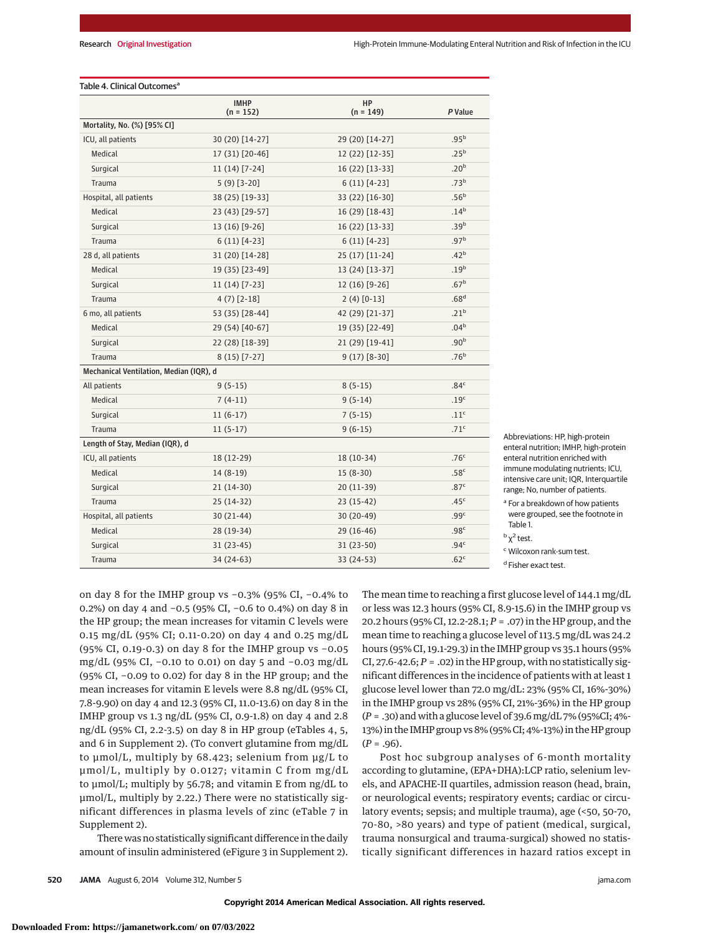#### Table 4. Clinical Outcomes<sup>a</sup>

|                                         | <b>IMHP</b><br>$(n = 152)$ | HP<br>$(n = 149)$ | P Value          |  |  |  |
|-----------------------------------------|----------------------------|-------------------|------------------|--|--|--|
| Mortality, No. (%) [95% CI]             |                            |                   |                  |  |  |  |
| ICU, all patients                       | 30 (20) [14-27]            | 29 (20) [14-27]   | .95 <sup>b</sup> |  |  |  |
| Medical                                 | 17 (31) [20-46]            | 12 (22) [12-35]   | .25 <sup>b</sup> |  |  |  |
| Surgical                                | $11(14)$ [7-24]            | 16 (22) [13-33]   | .20 <sup>b</sup> |  |  |  |
| Trauma                                  | $5(9)$ [3-20]              | $6(11) [4-23]$    | .73 <sup>b</sup> |  |  |  |
| Hospital, all patients                  | 38 (25) [19-33]            | 33 (22) [16-30]   | .56 <sup>b</sup> |  |  |  |
| Medical                                 | 23 (43) [29-57]            | 16 (29) [18-43]   | $.14^{b}$        |  |  |  |
| Surgical                                | 13 (16) [9-26]             | 16 (22) [13-33]   | .39 <sup>b</sup> |  |  |  |
| Trauma                                  | $6(11) [4-23]$             | $6(11) [4-23]$    | .97 <sup>b</sup> |  |  |  |
| 28 d, all patients                      | 31 (20) [14-28]            | 25 (17) [11-24]   | .42 <sup>b</sup> |  |  |  |
| Medical                                 | 19 (35) [23-49]            | 13 (24) [13-37]   | .19 <sup>b</sup> |  |  |  |
| Surgical                                | $11(14)$ [7-23]            | 12 (16) [9-26]    | .67 <sup>b</sup> |  |  |  |
| Trauma                                  | $4(7)$ [2-18]              | $2(4)$ [0-13]     | .68 <sup>d</sup> |  |  |  |
| 6 mo, all patients                      | 53 (35) [28-44]            | 42 (29) [21-37]   | .21 <sup>b</sup> |  |  |  |
| Medical                                 | 29 (54) [40-67]            | 19 (35) [22-49]   | .04 <sup>b</sup> |  |  |  |
| Surgical                                | 22 (28) [18-39]            | 21 (29) [19-41]   | .90 <sup>b</sup> |  |  |  |
| Trauma                                  | $8(15)$ [7-27]             | $9(17)$ [8-30]    | .76 <sup>b</sup> |  |  |  |
| Mechanical Ventilation, Median (IQR), d |                            |                   |                  |  |  |  |
| All patients                            | $9(5-15)$                  | $8(5-15)$         | .84 <sup>c</sup> |  |  |  |
| Medical                                 | $7(4-11)$                  | $9(5-14)$         | .19 <sup>c</sup> |  |  |  |
| Surgical                                | $11(6-17)$                 | $7(5-15)$         | .11 <sup>c</sup> |  |  |  |
| Trauma                                  | $11(5-17)$                 | $9(6-15)$         | .71 <sup>c</sup> |  |  |  |
| Length of Stay, Median (IQR), d         |                            |                   |                  |  |  |  |
| ICU, all patients                       | 18 (12-29)                 | 18 (10-34)        | .76 <sup>c</sup> |  |  |  |
| Medical                                 | $14(8-19)$                 | $15(8-30)$        | .58 <sup>c</sup> |  |  |  |
| Surgical                                | 21 (14-30)                 | 20 (11-39)        | .87 <sup>c</sup> |  |  |  |
| Trauma                                  | 25 (14-32)                 | 23 (15-42)        | .45 <sup>c</sup> |  |  |  |
| Hospital, all patients                  | $30(21-44)$                | 30 (20-49)        | .99 <sup>c</sup> |  |  |  |
| Medical                                 | 28 (19-34)                 | $29(16-46)$       | .98 <sup>c</sup> |  |  |  |
| Surgical                                | 31 (23-45)                 | $31(23-50)$       | .94 <sup>c</sup> |  |  |  |
| Trauma                                  | 34 (24-63)                 | 33 (24-53)        | .62 <sup>c</sup> |  |  |  |

Abbreviations: HP, high-protein enteral nutrition; IMHP, high-protein enteral nutrition enriched with immune modulating nutrients; ICU, intensive care unit; IQR, Interquartile range; No, number of patients.

<sup>a</sup> For a breakdown of how patients were grouped, see the footnote in Table 1.

<sup>c</sup> Wilcoxon rank-sum test.

<sup>d</sup> Fisher exact test.

on day 8 for the IMHP group vs −0.3% (95% CI, −0.4% to 0.2%) on day 4 and −0.5 (95% CI, −0.6 to 0.4%) on day 8 in the HP group; the mean increases for vitamin C levels were 0.15 mg/dL (95% CI; 0.11-0.20) on day 4 and 0.25 mg/dL (95% CI, 0.19-0.3) on day 8 for the IMHP group vs −0.05 mg/dL (95% CI, −0.10 to 0.01) on day 5 and −0.03 mg/dL (95% CI, −0.09 to 0.02) for day 8 in the HP group; and the mean increases for vitamin E levels were 8.8 ng/dL (95% CI, 7.8-9.90) on day 4 and 12.3 (95% CI, 11.0-13.6) on day 8 in the IMHP group vs 1.3 ng/dL (95% CI, 0.9-1.8) on day 4 and 2.8 ng/dL (95% CI, 2.2-3.5) on day 8 in HP group (eTables 4, 5, and 6 in Supplement 2). (To convert glutamine from mg/dL to μmol/L, multiply by 68.423; selenium from μg/L to μmol/L, multiply by 0.0127; vitamin C from mg/dL to μmol/L; multiply by 56.78; and vitamin E from ng/dL to μmol/L, multiply by 2.22.) There were no statistically significant differences in plasma levels of zinc (eTable 7 in Supplement 2).

There was no statistically significant difference in the daily amount of insulin administered (eFigure 3 in Supplement 2). The mean time to reaching a first glucose level of 144.1 mg/dL or less was 12.3 hours (95% CI, 8.9-15.6) in the IMHP group vs 20.2 hours (95% CI, 12.2-28.1; *P* = .07) in the HP group, and the mean time to reaching a glucose level of 113.5 mg/dL was 24.2 hours (95% CI, 19.1-29.3) in the IMHP group vs 35.1 hours (95% CI, 27.6-42.6;  $P = .02$ ) in the HP group, with no statistically significant differences in the incidence of patients with at least 1 glucose level lower than 72.0 mg/dL: 23% (95% CI, 16%-30%) in the IMHP group vs 28% (95% CI, 21%-36%) in the HP group (*P* = .30) and with a glucose level of 39.6mg/dL 7% (95%CI; 4%- 13%) in the IMHP group vs 8% (95% CI; 4%-13%) in the HP group (*P* = .96).

Post hoc subgroup analyses of 6-month mortality according to glutamine, (EPA+DHA):LCP ratio, selenium levels, and APACHE-II quartiles, admission reason (head, brain, or neurological events; respiratory events; cardiac or circulatory events; sepsis; and multiple trauma), age (<50, 50-70, 70-80, >80 years) and type of patient (medical, surgical, trauma nonsurgical and trauma-surgical) showed no statistically significant differences in hazard ratios except in

 $<sup>b</sup> \chi<sup>2</sup>$  test.</sup>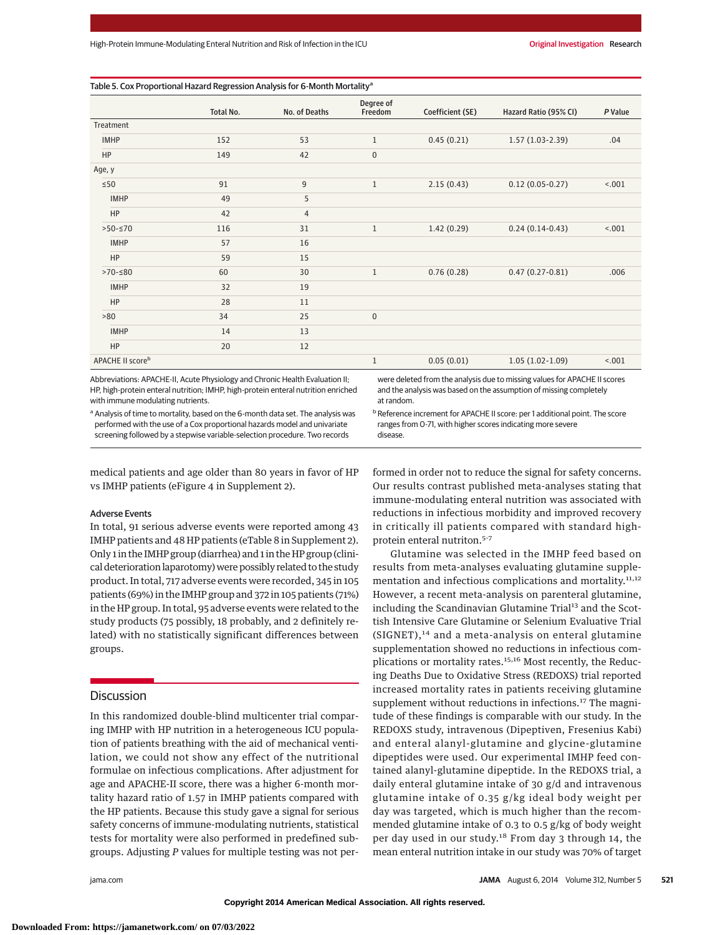|                              | ັ         |                |                      |                  |                       |         |
|------------------------------|-----------|----------------|----------------------|------------------|-----------------------|---------|
|                              | Total No. | No. of Deaths  | Degree of<br>Freedom | Coefficient (SE) | Hazard Ratio (95% CI) | P Value |
| Treatment                    |           |                |                      |                  |                       |         |
| <b>IMHP</b>                  | 152       | 53             | $1\,$                | 0.45(0.21)       | $1.57(1.03-2.39)$     | .04     |
| HP                           | 149       | 42             | $\mathbf 0$          |                  |                       |         |
| Age, y                       |           |                |                      |                  |                       |         |
| $\leq 50$                    | 91        | $9\,$          | $1\,$                | 2.15(0.43)       | $0.12(0.05-0.27)$     | 1001    |
| <b>IMHP</b>                  | 49        | 5              |                      |                  |                       |         |
| HP                           | 42        | $\overline{4}$ |                      |                  |                       |         |
| $>50-570$                    | 116       | 31             | $1\,$                | 1.42(0.29)       | $0.24(0.14-0.43)$     | 1001    |
| <b>IMHP</b>                  | 57        | 16             |                      |                  |                       |         |
| HP                           | 59        | 15             |                      |                  |                       |         |
| $>70-580$                    | 60        | 30             | $1\,$                | 0.76(0.28)       | $0.47(0.27-0.81)$     | .006    |
| <b>IMHP</b>                  | 32        | 19             |                      |                  |                       |         |
| HP                           | 28        | 11             |                      |                  |                       |         |
| >80                          | 34        | 25             | $\mathbf 0$          |                  |                       |         |
| <b>IMHP</b>                  | 14        | 13             |                      |                  |                       |         |
| HP                           | 20        | 12             |                      |                  |                       |         |
| APACHE II score <sup>b</sup> |           |                | $1\,$                | 0.05(0.01)       | $1.05(1.02-1.09)$     | 1001    |

disease.

Abbreviations: APACHE-II, Acute Physiology and Chronic Health Evaluation II; HP, high-protein enteral nutrition; IMHP, high-protein enteral nutrition enriched with immune modulating nutrients.

were deleted from the analysis due to missing values for APACHE II scores and the analysis was based on the assumption of missing completely at random.

**b** Reference increment for APACHE II score: per 1 additional point. The score

ranges from 0-71, with higher scores indicating more severe

a Analysis of time to mortality, based on the 6-month data set. The analysis was performed with the use of a Cox proportional hazards model and univariate screening followed by a stepwise variable-selection procedure. Two records

medical patients and age older than 80 years in favor of HP vs IMHP patients (eFigure 4 in Supplement 2).

#### Adverse Events

In total, 91 serious adverse events were reported among 43 IMHP patients and 48 HP patients (eTable 8 in Supplement 2). Only 1 in the IMHP group (diarrhea) and 1 in the HP group (clinical deterioration laparotomy) were possibly related to the study product. In total, 717 adverse events were recorded, 345 in 105 patients (69%) in the IMHP group and 372 in 105 patients (71%) in the HP group. In total, 95 adverse events were related to the study products (75 possibly, 18 probably, and 2 definitely related) with no statistically significant differences between groups.

# **Discussion**

In this randomized double-blind multicenter trial comparing IMHP with HP nutrition in a heterogeneous ICU population of patients breathing with the aid of mechanical ventilation, we could not show any effect of the nutritional formulae on infectious complications. After adjustment for age and APACHE-II score, there was a higher 6-month mortality hazard ratio of 1.57 in IMHP patients compared with the HP patients. Because this study gave a signal for serious safety concerns of immune-modulating nutrients, statistical tests for mortality were also performed in predefined subgroups. Adjusting *P* values for multiple testing was not performed in order not to reduce the signal for safety concerns. Our results contrast published meta-analyses stating that immune-modulating enteral nutrition was associated with reductions in infectious morbidity and improved recovery in critically ill patients compared with standard highprotein enteral nutriton.5-7

Glutamine was selected in the IMHP feed based on results from meta-analyses evaluating glutamine supplementation and infectious complications and mortality.<sup>11,12</sup> However, a recent meta-analysis on parenteral glutamine, including the Scandinavian Glutamine Trial<sup>13</sup> and the Scottish Intensive Care Glutamine or Selenium Evaluative Trial  $(SIGHT),<sup>14</sup>$  and a meta-analysis on enteral glutamine supplementation showed no reductions in infectious complications or mortality rates.<sup>15,16</sup> Most recently, the Reducing Deaths Due to Oxidative Stress (REDOXS) trial reported increased mortality rates in patients receiving glutamine supplement without reductions in infections.<sup>17</sup> The magnitude of these findings is comparable with our study. In the REDOXS study, intravenous (Dipeptiven, Fresenius Kabi) and enteral alanyl-glutamine and glycine-glutamine dipeptides were used. Our experimental IMHP feed contained alanyl-glutamine dipeptide. In the REDOXS trial, a daily enteral glutamine intake of 30 g/d and intravenous glutamine intake of 0.35 g/kg ideal body weight per day was targeted, which is much higher than the recommended glutamine intake of 0.3 to 0.5 g/kg of body weight per day used in our study.<sup>18</sup> From day 3 through 14, the mean enteral nutrition intake in our study was 70% of target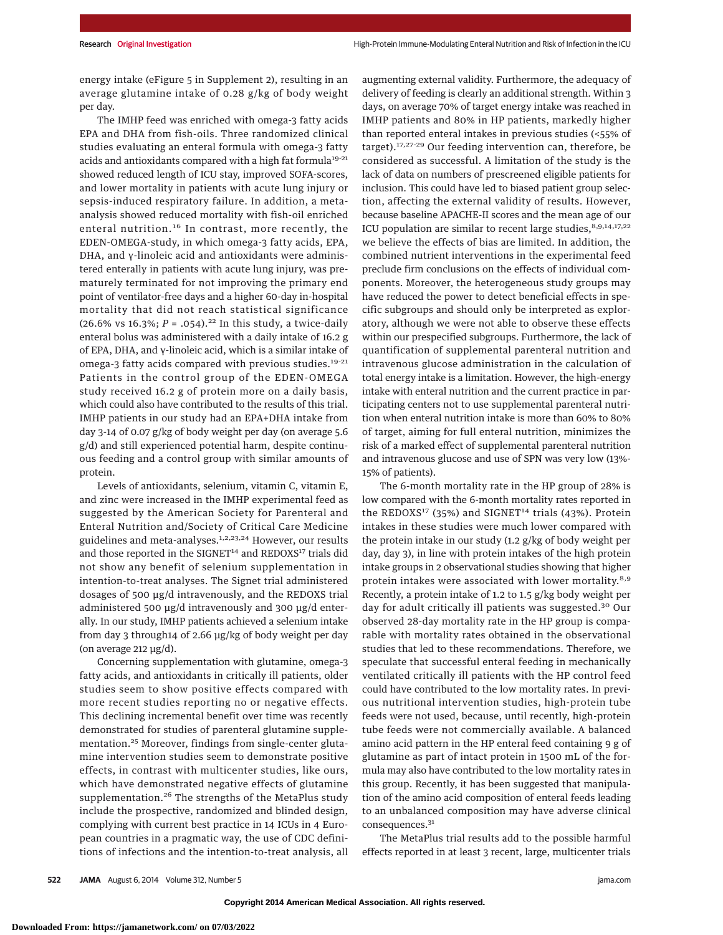energy intake (eFigure 5 in Supplement 2), resulting in an average glutamine intake of 0.28 g/kg of body weight per day.

The IMHP feed was enriched with omega-3 fatty acids EPA and DHA from fish-oils. Three randomized clinical studies evaluating an enteral formula with omega-3 fatty acids and antioxidants compared with a high fat formula<sup>19-21</sup> showed reduced length of ICU stay, improved SOFA-scores, and lower mortality in patients with acute lung injury or sepsis-induced respiratory failure. In addition, a metaanalysis showed reduced mortality with fish-oil enriched enteral nutrition.<sup>16</sup> In contrast, more recently, the EDEN-OMEGA-study, in which omega-3 fatty acids, EPA, DHA, and γ-linoleic acid and antioxidants were administered enterally in patients with acute lung injury, was prematurely terminated for not improving the primary end point of ventilator-free days and a higher 60-day in-hospital mortality that did not reach statistical significance (26.6% vs 16.3%;  $P = .054$ ).<sup>22</sup> In this study, a twice-daily enteral bolus was administered with a daily intake of 16.2 g of EPA, DHA, and γ-linoleic acid, which is a similar intake of omega-3 fatty acids compared with previous studies.<sup>19-21</sup> Patients in the control group of the EDEN-OMEGA study received 16.2 g of protein more on a daily basis, which could also have contributed to the results of this trial. IMHP patients in our study had an EPA+DHA intake from day 3-14 of 0.07 g/kg of body weight per day (on average 5.6 g/d) and still experienced potential harm, despite continuous feeding and a control group with similar amounts of protein.

Levels of antioxidants, selenium, vitamin C, vitamin E, and zinc were increased in the IMHP experimental feed as suggested by the American Society for Parenteral and Enteral Nutrition and/Society of Critical Care Medicine guidelines and meta-analyses.<sup>1,2,23,24</sup> However, our results and those reported in the SIGNET<sup>14</sup> and REDOXS<sup>17</sup> trials did not show any benefit of selenium supplementation in intention-to-treat analyses. The Signet trial administered dosages of 500 μg/d intravenously, and the REDOXS trial administered 500 μg/d intravenously and 300 μg/d enterally. In our study, IMHP patients achieved a selenium intake from day 3 through14 of 2.66 μg/kg of body weight per day (on average 212 μg/d).

Concerning supplementation with glutamine, omega-3 fatty acids, and antioxidants in critically ill patients, older studies seem to show positive effects compared with more recent studies reporting no or negative effects. This declining incremental benefit over time was recently demonstrated for studies of parenteral glutamine supplementation.<sup>25</sup> Moreover, findings from single-center glutamine intervention studies seem to demonstrate positive effects, in contrast with multicenter studies, like ours, which have demonstrated negative effects of glutamine supplementation.<sup>26</sup> The strengths of the MetaPlus study include the prospective, randomized and blinded design, complying with current best practice in 14 ICUs in 4 European countries in a pragmatic way, the use of CDC definitions of infections and the intention-to-treat analysis, all augmenting external validity. Furthermore, the adequacy of delivery of feeding is clearly an additional strength. Within 3 days, on average 70% of target energy intake was reached in IMHP patients and 80% in HP patients, markedly higher than reported enteral intakes in previous studies (<55% of target).17,27-29 Our feeding intervention can, therefore, be considered as successful. A limitation of the study is the lack of data on numbers of prescreened eligible patients for inclusion. This could have led to biased patient group selection, affecting the external validity of results. However, because baseline APACHE-II scores and the mean age of our ICU population are similar to recent large studies,  $8,9,14,17,22$ we believe the effects of bias are limited. In addition, the combined nutrient interventions in the experimental feed preclude firm conclusions on the effects of individual components. Moreover, the heterogeneous study groups may have reduced the power to detect beneficial effects in specific subgroups and should only be interpreted as exploratory, although we were not able to observe these effects within our prespecified subgroups. Furthermore, the lack of quantification of supplemental parenteral nutrition and intravenous glucose administration in the calculation of total energy intake is a limitation. However, the high-energy intake with enteral nutrition and the current practice in participating centers not to use supplemental parenteral nutrition when enteral nutrition intake is more than 60% to 80% of target, aiming for full enteral nutrition, minimizes the risk of a marked effect of supplemental parenteral nutrition and intravenous glucose and use of SPN was very low (13%- 15% of patients).

The 6-month mortality rate in the HP group of 28% is low compared with the 6-month mortality rates reported in the REDOXS<sup>17</sup> (35%) and SIGNET<sup>14</sup> trials (43%). Protein intakes in these studies were much lower compared with the protein intake in our study (1.2 g/kg of body weight per day, day 3), in line with protein intakes of the high protein intake groups in 2 observational studies showing that higher protein intakes were associated with lower mortality.<sup>8,9</sup> Recently, a protein intake of 1.2 to 1.5 g/kg body weight per day for adult critically ill patients was suggested.<sup>30</sup> Our observed 28-day mortality rate in the HP group is comparable with mortality rates obtained in the observational studies that led to these recommendations. Therefore, we speculate that successful enteral feeding in mechanically ventilated critically ill patients with the HP control feed could have contributed to the low mortality rates. In previous nutritional intervention studies, high-protein tube feeds were not used, because, until recently, high-protein tube feeds were not commercially available. A balanced amino acid pattern in the HP enteral feed containing 9 g of glutamine as part of intact protein in 1500 mL of the formula may also have contributed to the low mortality rates in this group. Recently, it has been suggested that manipulation of the amino acid composition of enteral feeds leading to an unbalanced composition may have adverse clinical consequences.<sup>31</sup>

The MetaPlus trial results add to the possible harmful effects reported in at least 3 recent, large, multicenter trials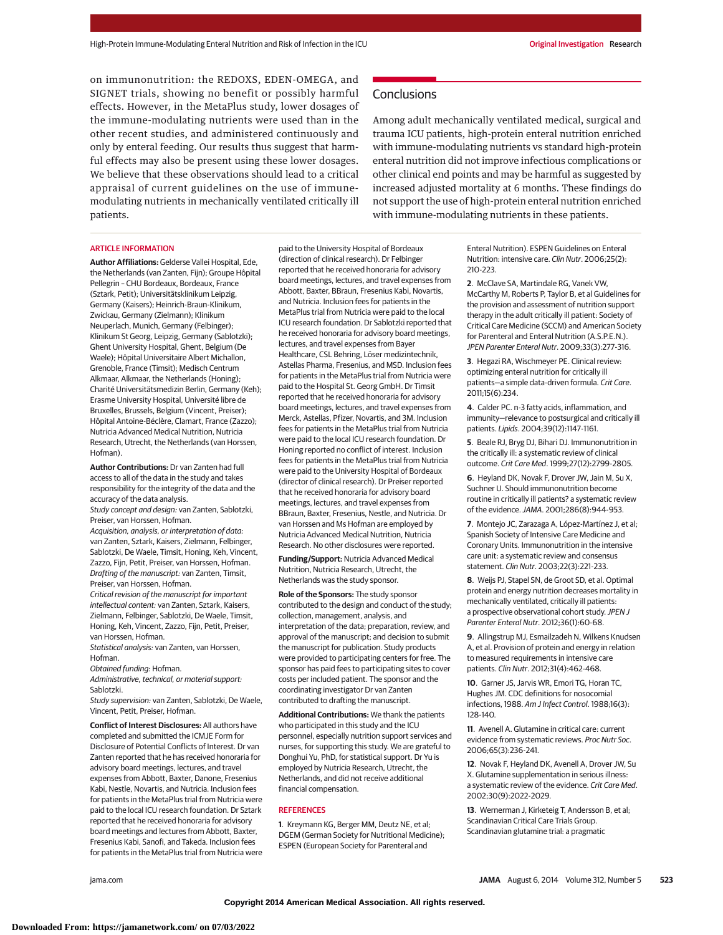on immunonutrition: the REDOXS, EDEN-OMEGA, and SIGNET trials, showing no benefit or possibly harmful effects. However, in the MetaPlus study, lower dosages of the immune-modulating nutrients were used than in the other recent studies, and administered continuously and only by enteral feeding. Our results thus suggest that harmful effects may also be present using these lower dosages. We believe that these observations should lead to a critical appraisal of current guidelines on the use of immunemodulating nutrients in mechanically ventilated critically ill patients.

#### ARTICLE INFORMATION

**Author Affiliations:** Gelderse Vallei Hospital, Ede, the Netherlands (van Zanten, Fijn); Groupe Hôpital Pellegrin – CHU Bordeaux, Bordeaux, France (Sztark, Petit); Universitätsklinikum Leipzig, Germany (Kaisers); Heinrich-Braun-Klinikum, Zwickau, Germany (Zielmann); Klinikum Neuperlach, Munich, Germany (Felbinger); Klinikum St Georg, Leipzig, Germany (Sablotzki); Ghent University Hospital, Ghent, Belgium (De Waele); Hôpital Universitaire Albert Michallon, Grenoble, France (Timsit); Medisch Centrum Alkmaar, Alkmaar, the Netherlands (Honing); Charité Universitätsmedizin Berlin, Germany (Keh); Erasme University Hospital, Université libre de Bruxelles, Brussels, Belgium (Vincent, Preiser); Hôpital Antoine-Béclère, Clamart, France (Zazzo); Nutricia Advanced Medical Nutrition, Nutricia Research, Utrecht, the Netherlands (van Horssen, Hofman).

**Author Contributions:** Dr van Zanten had full access to all of the data in the study and takes responsibility for the integrity of the data and the accuracy of the data analysis.

Study concept and design: van Zanten, Sablotzki, Preiser, van Horssen, Hofman.

Acquisition, analysis, or interpretation of data: van Zanten, Sztark, Kaisers, Zielmann, Felbinger, Sablotzki, De Waele, Timsit, Honing, Keh, Vincent, Zazzo, Fijn, Petit, Preiser, van Horssen, Hofman. Drafting of the manuscript: van Zanten, Timsit, Preiser, van Horssen, Hofman.

Critical revision of the manuscript for important intellectual content: van Zanten, Sztark, Kaisers, Zielmann, Felbinger, Sablotzki, De Waele, Timsit, Honing, Keh, Vincent, Zazzo, Fijn, Petit, Preiser, van Horssen, Hofman.

Statistical analysis: van Zanten, van Horssen, Hofman.

Obtained funding: Hofman.

Administrative, technical, or material support: Sablotzki.

Study supervision: van Zanten, Sablotzki, De Waele, Vincent, Petit, Preiser, Hofman.

**Conflict of Interest Disclosures:** All authors have completed and submitted the ICMJE Form for Disclosure of Potential Conflicts of Interest. Dr van Zanten reported that he has received honoraria for advisory board meetings, lectures, and travel expenses from Abbott, Baxter, Danone, Fresenius Kabi, Nestle, Novartis, and Nutricia. Inclusion fees for patients in the MetaPlus trial from Nutricia were paid to the local ICU research foundation. Dr Sztark reported that he received honoraria for advisory board meetings and lectures from Abbott, Baxter, Fresenius Kabi, Sanofi, and Takeda. Inclusion fees for patients in the MetaPlus trial from Nutricia were

paid to the University Hospital of Bordeaux (direction of clinical research). Dr Felbinger reported that he received honoraria for advisory board meetings, lectures, and travel expenses from Abbott, Baxter, BBraun, Fresenius Kabi, Novartis, and Nutricia. Inclusion fees for patients in the MetaPlus trial from Nutricia were paid to the local ICU research foundation. Dr Sablotzki reported that he received honoraria for advisory board meetings, lectures, and travel expenses from Bayer Healthcare, CSL Behring, Löser medizintechnik, Astellas Pharma, Fresenius, and MSD. Inclusion fees for patients in the MetaPlus trial from Nutricia were paid to the Hospital St. Georg GmbH. Dr Timsit reported that he received honoraria for advisory board meetings, lectures, and travel expenses from Merck, Astellas, Pfizer, Novartis, and 3M. Inclusion fees for patients in the MetaPlus trial from Nutricia were paid to the local ICU research foundation. Dr Honing reported no conflict of interest. Inclusion fees for patients in the MetaPlus trial from Nutricia were paid to the University Hospital of Bordeaux (director of clinical research). Dr Preiser reported that he received honoraria for advisory board meetings, lectures, and travel expenses from BBraun, Baxter, Fresenius, Nestle, and Nutricia. Dr van Horssen and Ms Hofman are employed by Nutricia Advanced Medical Nutrition, Nutricia Research. No other disclosures were reported.

**Funding/Support:** Nutricia Advanced Medical Nutrition, Nutricia Research, Utrecht, the Netherlands was the study sponsor.

**Role of the Sponsors:** The study sponsor contributed to the design and conduct of the study; collection, management, analysis, and interpretation of the data; preparation, review, and approval of the manuscript; and decision to submit the manuscript for publication. Study products were provided to participating centers for free. The sponsor has paid fees to participating sites to cover costs per included patient. The sponsor and the coordinating investigator Dr van Zanten contributed to drafting the manuscript.

**Additional Contributions:** We thank the patients who participated in this study and the ICU personnel, especially nutrition support services and nurses, for supporting this study. We are grateful to Donghui Yu, PhD, for statistical support. Dr Yu is employed by Nutricia Research, Utrecht, the Netherlands, and did not receive additional financial compensation.

# **REFERENCES**

**1**. Kreymann KG, Berger MM, Deutz NE, et al; DGEM (German Society for Nutritional Medicine); ESPEN (European Society for Parenteral and

**Conclusions** 

Among adult mechanically ventilated medical, surgical and trauma ICU patients, high-protein enteral nutrition enriched with immune-modulating nutrients vs standard high-protein enteral nutrition did not improve infectious complications or other clinical end points and may be harmful as suggested by increased adjusted mortality at 6 months. These findings do not support the use of high-protein enteral nutrition enriched with immune-modulating nutrients in these patients.

> Enteral Nutrition). ESPEN Guidelines on Enteral Nutrition: intensive care. Clin Nutr. 2006;25(2): 210-223.

**2**. McClave SA, Martindale RG, Vanek VW, McCarthy M, Roberts P, Taylor B, et al Guidelines for the provision and assessment of nutrition support therapy in the adult critically ill patient: Society of Critical Care Medicine (SCCM) and American Society for Parenteral and Enteral Nutrition (A.S.P.E.N.). JPEN Parenter Enteral Nutr. 2009;33(3):277-316.

**3**. Hegazi RA, Wischmeyer PE. Clinical review: optimizing enteral nutrition for critically ill patients—a simple data-driven formula. Crit Care. 2011;15(6):234.

**4**. Calder PC. n-3 fatty acids, inflammation, and immunity—relevance to postsurgical and critically ill patients. Lipids. 2004;39(12):1147-1161.

**5**. Beale RJ, Bryg DJ, Bihari DJ. Immunonutrition in the critically ill: a systematic review of clinical outcome. Crit Care Med. 1999;27(12):2799-2805.

**6**. Heyland DK, Novak F, Drover JW, Jain M, Su X, Suchner U. Should immunonutrition become routine in critically ill patients? a systematic review of the evidence.JAMA. 2001;286(8):944-953.

**7**. Montejo JC, Zarazaga A, López-Martínez J, et al; Spanish Society of Intensive Care Medicine and Coronary Units. Immunonutrition in the intensive care unit: a systematic review and consensus statement. Clin Nutr. 2003;22(3):221-233.

**8**. Weijs PJ, Stapel SN, de Groot SD, et al. Optimal protein and energy nutrition decreases mortality in mechanically ventilated, critically ill patients: a prospective observational cohort study. JPEN J Parenter Enteral Nutr. 2012;36(1):60-68.

**9**. Allingstrup MJ, Esmailzadeh N, Wilkens Knudsen A, et al. Provision of protein and energy in relation to measured requirements in intensive care patients. Clin Nutr. 2012;31(4):462-468.

**10**. Garner JS, Jarvis WR, Emori TG, Horan TC, Hughes JM. CDC definitions for nosocomial infections, 1988. Am J Infect Control. 1988;16(3): 128-140.

**11**. Avenell A. Glutamine in critical care: current evidence from systematic reviews. Proc Nutr Soc. 2006;65(3):236-241.

**12**. Novak F, Heyland DK, Avenell A, Drover JW, Su X. Glutamine supplementation in serious illness: a systematic review of the evidence. Crit Care Med. 2002;30(9):2022-2029.

**13**. Wernerman J, Kirketeig T, Andersson B, et al; Scandinavian Critical Care Trials Group. Scandinavian glutamine trial: a pragmatic